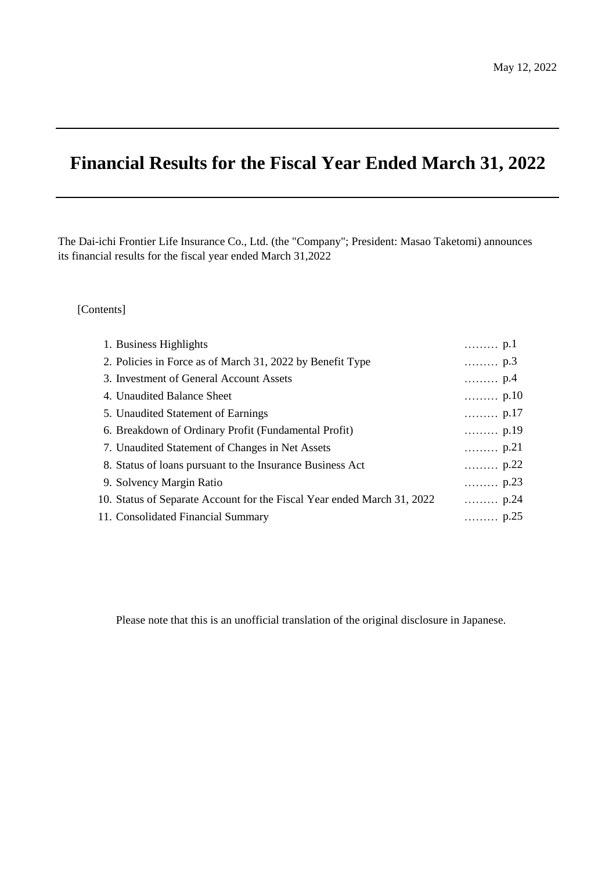# **Financial Results for the Fiscal Year Ended March 31, 2022**

The Dai-ichi Frontier Life Insurance Co., Ltd. (the "Company"; President: Masao Taketomi) announces its financial results for the fiscal year ended March 31,2022

### [Contents]

| 1. Business Highlights                                                  | $\ldots \ldots \ldots p.1$  |
|-------------------------------------------------------------------------|-----------------------------|
| 2. Policies in Force as of March 31, 2022 by Benefit Type               | $\ldots \ldots \ldots p.3$  |
| 3. Investment of General Account Assets                                 | p.4                         |
| 4. Unaudited Balance Sheet                                              | $\ldots \ldots \ldots$ p.10 |
| 5. Unaudited Statement of Earnings                                      | $\ldots \ldots \ldots$ p.17 |
| 6. Breakdown of Ordinary Profit (Fundamental Profit)                    | $\ldots \ldots$ p.19        |
| 7. Unaudited Statement of Changes in Net Assets                         | $\ldots \ldots \ldots$ p.21 |
| 8. Status of loans pursuant to the Insurance Business Act               | $\ldots \ldots \ldots$ p.22 |
| 9. Solvency Margin Ratio                                                | $\ldots \ldots \ldots$ p.23 |
| 10. Status of Separate Account for the Fiscal Year ended March 31, 2022 | $\ldots \ldots \ldots p.24$ |
| 11. Consolidated Financial Summary                                      | $\ldots \ldots \ldots p.25$ |

Please note that this is an unofficial translation of the original disclosure in Japanese.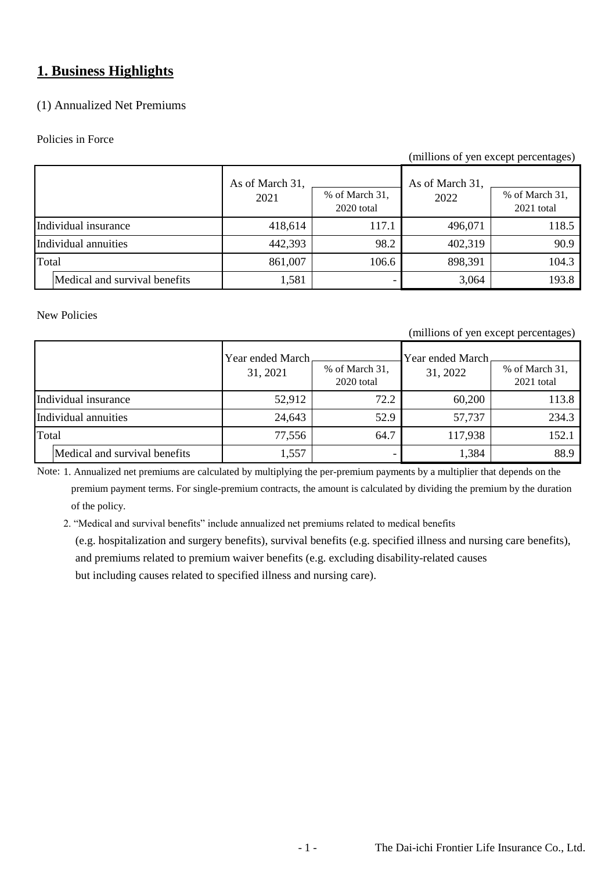## **1. Business Highlights**

## (1) Annualized Net Premiums

### Policies in Force

### (millions of yen except percentages)

|                      |                               | As of March 31,<br>2021 | % of March 31,<br>2020 total | As of March 31.<br>2022 | % of March 31,<br>$2021$ total |
|----------------------|-------------------------------|-------------------------|------------------------------|-------------------------|--------------------------------|
|                      | Individual insurance          | 418,614                 | 117.1                        | 496,071                 | 118.5                          |
| Individual annuities |                               | 442,393                 | 98.2                         | 402,319                 | 90.9                           |
| Total                |                               | 861,007                 | 106.6                        | 898,391                 | 104.3                          |
|                      | Medical and survival benefits | 1,581                   |                              | 3,064                   | 193.8                          |

### New Policies

### (millions of yen except percentages)

|       |                               | Year ended March<br>31, 2021 | % of March 31,<br>2020 total | Year ended March<br>31, 2022 | % of March 31,<br>$2021$ total |
|-------|-------------------------------|------------------------------|------------------------------|------------------------------|--------------------------------|
|       | Individual insurance          | 52,912                       | 72.2                         | 60,200                       | 113.8                          |
|       | Individual annuities          | 24,643                       | 52.9                         | 57,737                       | 234.3                          |
| Total |                               | 77,556                       | 64.7                         | 117,938                      | 152.1                          |
|       | Medical and survival benefits | 1,557                        |                              | 1,384                        | 88.9                           |

Note: 1. Annualized net premiums are calculated by multiplying the per-premium payments by a multiplier that depends on the

 premium payment terms. For single-premium contracts, the amount is calculated by dividing the premium by the duration of the policy.

2. "Medical and survival benefits" include annualized net premiums related to medical benefits

 (e.g. hospitalization and surgery benefits), survival benefits (e.g. specified illness and nursing care benefits), and premiums related to premium waiver benefits (e.g. excluding disability-related causes but including causes related to specified illness and nursing care).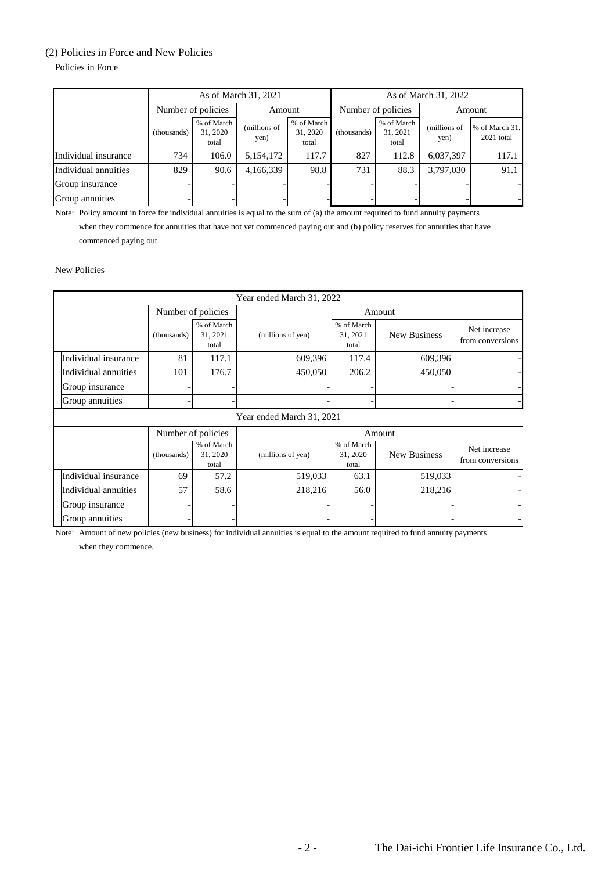### (2) Policies in Force and New Policies

Policies in Force

| As of March 31, 2021 |                    |                                 |                      |                                 | As of March 31, 2022 |                                 |                      |                              |  |
|----------------------|--------------------|---------------------------------|----------------------|---------------------------------|----------------------|---------------------------------|----------------------|------------------------------|--|
|                      | Number of policies |                                 | Amount               |                                 |                      | Number of policies              |                      | Amount                       |  |
|                      | (thousands)        | % of March<br>31, 2020<br>total | (millions of<br>yen) | % of March<br>31, 2020<br>total | (thousands)          | % of March<br>31, 2021<br>total | (millions of<br>yen) | % of March 31,<br>2021 total |  |
| Individual insurance | 734                | 106.0                           | 5,154,172            | 117.7                           | 827                  | 112.8                           | 6,037,397            | 117.1                        |  |
| Individual annuities | 829                | 90.6                            | 4,166,339            | 98.8                            | 731                  | 88.3                            | 3,797,030            | 91.1                         |  |
| Group insurance      |                    |                                 |                      |                                 |                      |                                 |                      |                              |  |
| Group annuities      |                    |                                 |                      |                                 |                      |                                 |                      |                              |  |

Note: Policy amount in force for individual annuities is equal to the sum of (a) the amount required to fund annuity payments

 when they commence for annuities that have not yet commenced paying out and (b) policy reserves for annuities that have commenced paying out.

New Policies

| Year ended March 31, 2022 |                    |                                 |                           |                                 |                     |                                  |  |  |
|---------------------------|--------------------|---------------------------------|---------------------------|---------------------------------|---------------------|----------------------------------|--|--|
|                           | Number of policies |                                 |                           | Amount                          |                     |                                  |  |  |
|                           | (thousands)        | % of March<br>31, 2021<br>total | (millions of yen)         | % of March<br>31, 2021<br>total | <b>New Business</b> | Net increase<br>from conversions |  |  |
| Individual insurance      | 81                 | 117.1                           | 609,396                   | 117.4                           | 609,396             |                                  |  |  |
| Individual annuities      | 101                | 176.7                           | 450,050                   | 206.2                           | 450,050             |                                  |  |  |
| Group insurance           |                    |                                 |                           |                                 |                     |                                  |  |  |
| Group annuities           |                    |                                 |                           |                                 |                     |                                  |  |  |
|                           |                    |                                 | Year ended March 31, 2021 |                                 |                     |                                  |  |  |
|                           | Number of policies |                                 |                           | Amount                          |                     |                                  |  |  |
|                           | (thousands)        | % of March<br>31, 2020<br>total | (millions of yen)         | % of March<br>31, 2020<br>total | <b>New Business</b> | Net increase<br>from conversions |  |  |
| Individual insurance      | 69                 | 57.2                            | 519,033                   | 63.1                            | 519,033             |                                  |  |  |
| Individual annuities      | 57                 | 58.6                            | 218,216                   | 56.0                            | 218,216             |                                  |  |  |
| Group insurance           |                    |                                 |                           |                                 |                     |                                  |  |  |
| Group annuities           |                    |                                 |                           |                                 |                     |                                  |  |  |

Note: Amount of new policies (new business) for individual annuities is equal to the amount required to fund annuity payments when they commence.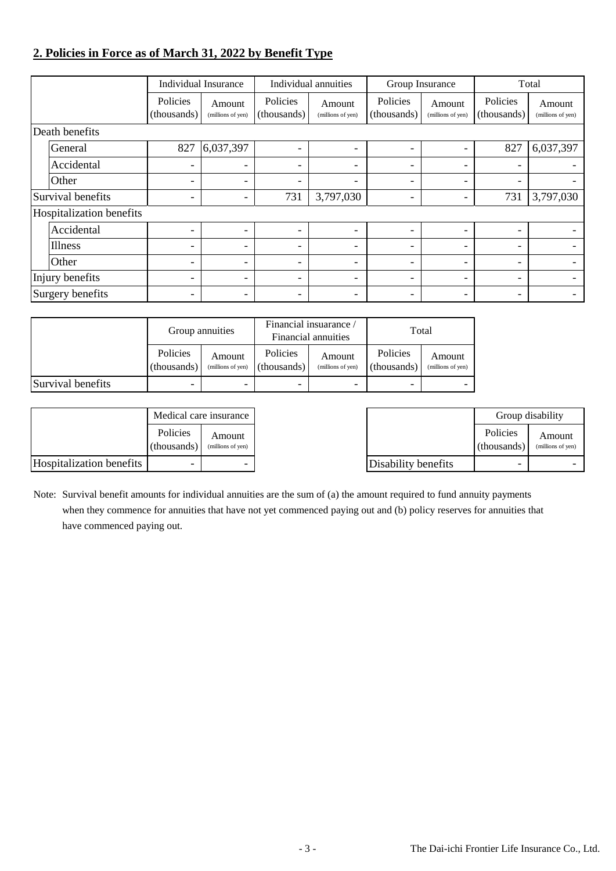## **2. Policies in Force as of March 31, 2022 by Benefit Type**

|                          |                          | Individual Insurance        |                          | Individual annuities        | Group Insurance          |                             |                          | Total                       |
|--------------------------|--------------------------|-----------------------------|--------------------------|-----------------------------|--------------------------|-----------------------------|--------------------------|-----------------------------|
|                          | Policies<br>(thousands)  | Amount<br>(millions of yen) | Policies<br>(thousands)  | Amount<br>(millions of yen) | Policies<br>(thousands)  | Amount<br>(millions of yen) | Policies<br>(thousands)  | Amount<br>(millions of yen) |
| Death benefits           |                          |                             |                          |                             |                          |                             |                          |                             |
| General                  | 827                      | 6,037,397                   | $\overline{\phantom{a}}$ | Ξ.                          | $\overline{\phantom{0}}$ |                             | 827                      | 6,037,397                   |
| Accidental               | -                        | $\overline{\phantom{0}}$    | -                        | Ξ.                          | $\overline{\phantom{a}}$ |                             | $\overline{\phantom{0}}$ |                             |
| Other                    | $\overline{\phantom{0}}$ | $\overline{\phantom{0}}$    | $\overline{\phantom{a}}$ | Ξ.                          | $\overline{\phantom{a}}$ |                             | $\overline{\phantom{0}}$ |                             |
| Survival benefits        | $\overline{\phantom{a}}$ | $\overline{\phantom{0}}$    | 731                      | 3,797,030                   | $\overline{\phantom{a}}$ |                             | 731                      | 3,797,030                   |
| Hospitalization benefits |                          |                             |                          |                             |                          |                             |                          |                             |
| Accidental               | -                        | ۰                           | $\overline{\phantom{a}}$ | Ξ.                          | $\overline{\phantom{0}}$ |                             | $\overline{\phantom{0}}$ |                             |
| Illness                  | $\overline{\phantom{0}}$ | $\overline{\phantom{a}}$    | $\overline{\phantom{a}}$ | Ξ.                          | $\overline{\phantom{a}}$ |                             | -                        |                             |
| Other                    | $\overline{\phantom{0}}$ | $\overline{\phantom{0}}$    | $\overline{\phantom{a}}$ | Ξ.                          | $\overline{\phantom{a}}$ |                             | $\overline{\phantom{0}}$ |                             |
| Injury benefits          | Ξ.                       | $\overline{\phantom{0}}$    | $\overline{\phantom{a}}$ | Ξ.                          | $\overline{\phantom{0}}$ |                             | -                        |                             |
| Surgery benefits         | -                        |                             | -                        |                             | -                        |                             | -                        |                             |

|                   | Group annuities         |                             |                         | Financial insuarance /<br>Financial annuities | Total                   |                             |
|-------------------|-------------------------|-----------------------------|-------------------------|-----------------------------------------------|-------------------------|-----------------------------|
|                   | Policies<br>(thousands) | Amount<br>(millions of yen) | Policies<br>(thousands) | Amount<br>(millions of yen)                   | Policies<br>(thousands) | Amount<br>(millions of yen) |
| Survival benefits | -                       | $\overline{\phantom{a}}$    | -                       |                                               | -                       |                             |

|                          | Medical care insurance  |                             |                     |                         | Group disability            |
|--------------------------|-------------------------|-----------------------------|---------------------|-------------------------|-----------------------------|
|                          | Policies<br>(thousands) | Amount<br>(millions of yen) |                     | Policies<br>(thousands) | Amount<br>(millions of yen) |
| Hospitalization benefits |                         |                             | Disability benefits | -                       |                             |

Note: Survival benefit amounts for individual annuities are the sum of (a) the amount required to fund annuity payments when they commence for annuities that have not yet commenced paying out and (b) policy reserves for annuities that have commenced paying out.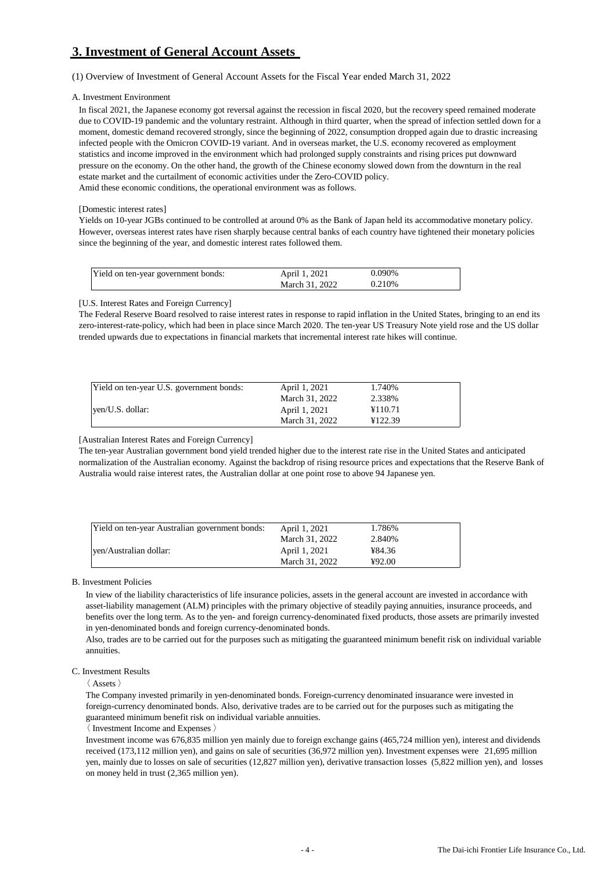## **3. Investment of General Account Assets**

(1) Overview of Investment of General Account Assets for the Fiscal Year ended March 31, 2022

#### A. Investment Environment

In fiscal 2021, the Japanese economy got reversal against the recession in fiscal 2020, but the recovery speed remained moderate due to COVID-19 pandemic and the voluntary restraint. Although in third quarter, when the spread of infection settled down for a moment, domestic demand recovered strongly, since the beginning of 2022, consumption dropped again due to drastic increasing infected people with the Omicron COVID-19 variant. And in overseas market, the U.S. economy recovered as employment statistics and income improved in the environment which had prolonged supply constraints and rising prices put downward pressure on the economy. On the other hand, the growth of the Chinese economy slowed down from the downturn in the real estate market and the curtailment of economic activities under the Zero-COVID policy. Amid these economic conditions, the operational environment was as follows.

#### [Domestic interest rates]

Yields on 10-year JGBs continued to be controlled at around 0% as the Bank of Japan held its accommodative monetary policy. However, overseas interest rates have risen sharply because central banks of each country have tightened their monetary policies since the beginning of the year, and domestic interest rates followed them.

| Yield on ten-year government bonds: | April 1, 2021  | 0.090% |  |
|-------------------------------------|----------------|--------|--|
|                                     | March 31, 2022 | 0.210% |  |

[U.S. Interest Rates and Foreign Currency]

The Federal Reserve Board resolved to raise interest rates in response to rapid inflation in the United States, bringing to an end its zero-interest-rate-policy, which had been in place since March 2020. The ten-year US Treasury Note yield rose and the US dollar trended upwards due to expectations in financial markets that incremental interest rate hikes will continue.

| Yield on ten-year U.S. government bonds: | April 1, 2021  | 1.740%  |
|------------------------------------------|----------------|---------|
|                                          | March 31, 2022 | 2.338%  |
| yen/U.S. dollar:                         | April 1, 2021  | ¥110.71 |
|                                          | March 31, 2022 | ¥122.39 |

[Australian Interest Rates and Foreign Currency]

The ten-year Australian government bond yield trended higher due to the interest rate rise in the United States and anticipated normalization of the Australian economy. Against the backdrop of rising resource prices and expectations that the Reserve Bank of Australia would raise interest rates, the Australian dollar at one point rose to above 94 Japanese yen.

| Yield on ten-year Australian government bonds: | April 1, 2021  | 1.786%  |  |
|------------------------------------------------|----------------|---------|--|
|                                                | March 31, 2022 | 2.840\% |  |
| ven/Australian dollar:                         | April 1, 2021  | ¥84.36  |  |
|                                                | March 31, 2022 | ¥92.00  |  |

B. Investment Policies

In view of the liability characteristics of life insurance policies, assets in the general account are invested in accordance with asset-liability management (ALM) principles with the primary objective of steadily paying annuities, insurance proceeds, and benefits over the long term. As to the yen- and foreign currency-denominated fixed products, those assets are primarily invested in yen-denominated bonds and foreign currency-denominated bonds.

Also, trades are to be carried out for the purposes such as mitigating the guaranteed minimum benefit risk on individual variable annuities.

#### C. Investment Results

〈 Assets 〉

The Company invested primarily in yen-denominated bonds. Foreign-currency denominated insuarance were invested in foreign-currency denominated bonds. Also, derivative trades are to be carried out for the purposes such as mitigating the guaranteed minimum benefit risk on individual variable annuities.

〈 Investment Income and Expenses 〉

Investment income was 676,835 million yen mainly due to foreign exchange gains (465,724 million yen), interest and dividends received (173,112 million yen), and gains on sale of securities (36,972 million yen). Investment expenses were 21,695 million yen, mainly due to losses on sale of securities (12,827 million yen), derivative transaction losses (5,822 million yen), and losses on money held in trust (2,365 million yen).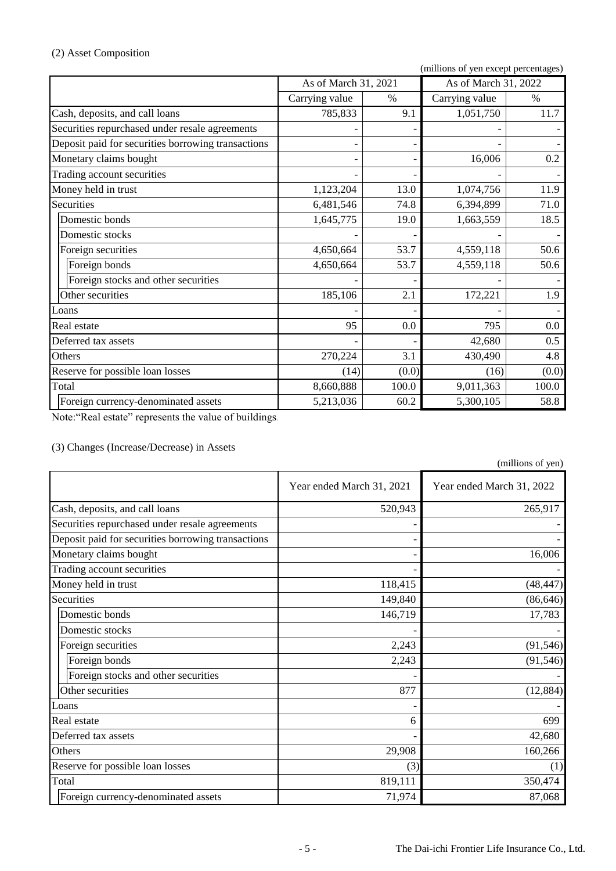## (2) Asset Composition

(millions of yen except percentages)

|                                                    | As of March 31, 2021 |       | As of March 31, 2022 |       |  |
|----------------------------------------------------|----------------------|-------|----------------------|-------|--|
|                                                    | Carrying value       | $\%$  | Carrying value       | $\%$  |  |
| Cash, deposits, and call loans                     | 785,833              | 9.1   | 1,051,750            | 11.7  |  |
| Securities repurchased under resale agreements     |                      |       |                      |       |  |
| Deposit paid for securities borrowing transactions |                      |       |                      |       |  |
| Monetary claims bought                             |                      |       | 16,006               | 0.2   |  |
| Trading account securities                         |                      |       |                      |       |  |
| Money held in trust                                | 1,123,204            | 13.0  | 1,074,756            | 11.9  |  |
| Securities                                         | 6,481,546            | 74.8  | 6,394,899            | 71.0  |  |
| Domestic bonds                                     | 1,645,775            | 19.0  | 1,663,559            | 18.5  |  |
| Domestic stocks                                    |                      |       |                      |       |  |
| Foreign securities                                 | 4,650,664            | 53.7  | 4,559,118            | 50.6  |  |
| Foreign bonds                                      | 4,650,664            | 53.7  | 4,559,118            | 50.6  |  |
| Foreign stocks and other securities                |                      |       |                      |       |  |
| Other securities                                   | 185,106              | 2.1   | 172,221              | 1.9   |  |
| Loans                                              |                      |       |                      |       |  |
| Real estate                                        | 95                   | 0.0   | 795                  | 0.0   |  |
| Deferred tax assets                                |                      |       | 42,680               | 0.5   |  |
| Others                                             | 270,224              | 3.1   | 430,490              | 4.8   |  |
| Reserve for possible loan losses                   | (14)                 | (0.0) | (16)                 | (0.0) |  |
| Total                                              | 8,660,888            | 100.0 | 9,011,363            | 100.0 |  |
| Foreign currency-denominated assets                | 5,213,036            | 60.2  | 5,300,105            | 58.8  |  |
|                                                    |                      |       |                      |       |  |

Note:"Real estate" represents the value of buildings.

(3) Changes (Increase/Decrease) in Assets

(millions of yen)

|                                                    | Year ended March 31, 2021 | Year ended March 31, 2022 |
|----------------------------------------------------|---------------------------|---------------------------|
| Cash, deposits, and call loans                     | 520,943                   | 265,917                   |
| Securities repurchased under resale agreements     |                           |                           |
| Deposit paid for securities borrowing transactions |                           |                           |
| Monetary claims bought                             |                           | 16,006                    |
| Trading account securities                         |                           |                           |
| Money held in trust                                | 118,415                   | (48, 447)                 |
| Securities                                         | 149,840                   | (86, 646)                 |
| Domestic bonds                                     | 146,719                   | 17,783                    |
| Domestic stocks                                    |                           |                           |
| Foreign securities                                 | 2,243                     | (91, 546)                 |
| Foreign bonds                                      | 2,243                     | (91, 546)                 |
| Foreign stocks and other securities                |                           |                           |
| Other securities                                   | 877                       | (12, 884)                 |
| Loans                                              |                           |                           |
| Real estate                                        | 6                         | 699                       |
| Deferred tax assets                                |                           | 42,680                    |
| Others                                             | 29,908                    | 160,266                   |
| Reserve for possible loan losses                   | (3)                       | (1)                       |
| Total                                              | 819,111                   | 350,474                   |
| Foreign currency-denominated assets                | 71,974                    | 87,068                    |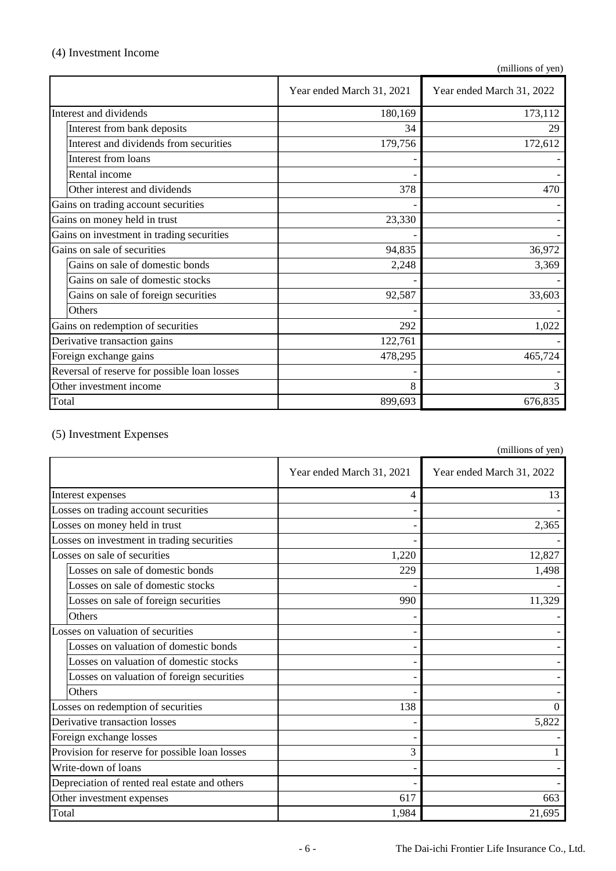## (4) Investment Income

(millions of yen)

|                                              | Year ended March 31, 2021 | Year ended March 31, 2022 |
|----------------------------------------------|---------------------------|---------------------------|
| Interest and dividends                       | 180,169                   | 173,112                   |
| Interest from bank deposits                  | 34                        | 29                        |
| Interest and dividends from securities       | 179,756                   | 172,612                   |
| Interest from loans                          |                           |                           |
| Rental income                                |                           |                           |
| Other interest and dividends                 | 378                       | 470                       |
| Gains on trading account securities          |                           |                           |
| Gains on money held in trust                 | 23,330                    |                           |
| Gains on investment in trading securities    |                           |                           |
| Gains on sale of securities                  | 94,835                    | 36,972                    |
| Gains on sale of domestic bonds              | 2,248                     | 3,369                     |
| Gains on sale of domestic stocks             |                           |                           |
| Gains on sale of foreign securities          | 92,587                    | 33,603                    |
| <b>Others</b>                                |                           |                           |
| Gains on redemption of securities            | 292                       | 1,022                     |
| Derivative transaction gains                 | 122,761                   |                           |
| Foreign exchange gains                       | 478,295                   | 465,724                   |
| Reversal of reserve for possible loan losses |                           |                           |
| Other investment income                      | 8                         | 3                         |
| Total                                        | 899,693                   | 676,835                   |

## (5) Investment Expenses

(millions of yen)

|                                                | Year ended March 31, 2021 | Year ended March 31, 2022 |
|------------------------------------------------|---------------------------|---------------------------|
| Interest expenses                              | 4                         | 13                        |
| Losses on trading account securities           |                           |                           |
| Losses on money held in trust                  |                           | 2,365                     |
| Losses on investment in trading securities     |                           |                           |
| Losses on sale of securities                   | 1,220                     | 12,827                    |
| Losses on sale of domestic bonds               | 229                       | 1,498                     |
| Losses on sale of domestic stocks              |                           |                           |
| Losses on sale of foreign securities           | 990                       | 11,329                    |
| Others                                         |                           |                           |
| Losses on valuation of securities              |                           |                           |
| Losses on valuation of domestic bonds          |                           |                           |
| Losses on valuation of domestic stocks         |                           |                           |
| Losses on valuation of foreign securities      |                           |                           |
| Others                                         |                           |                           |
| Losses on redemption of securities             | 138                       |                           |
| Derivative transaction losses                  |                           | 5,822                     |
| Foreign exchange losses                        |                           |                           |
| Provision for reserve for possible loan losses | 3                         |                           |
| Write-down of loans                            |                           |                           |
| Depreciation of rented real estate and others  |                           |                           |
| Other investment expenses                      | 617                       | 663                       |
| Total                                          | 1,984                     | 21,695                    |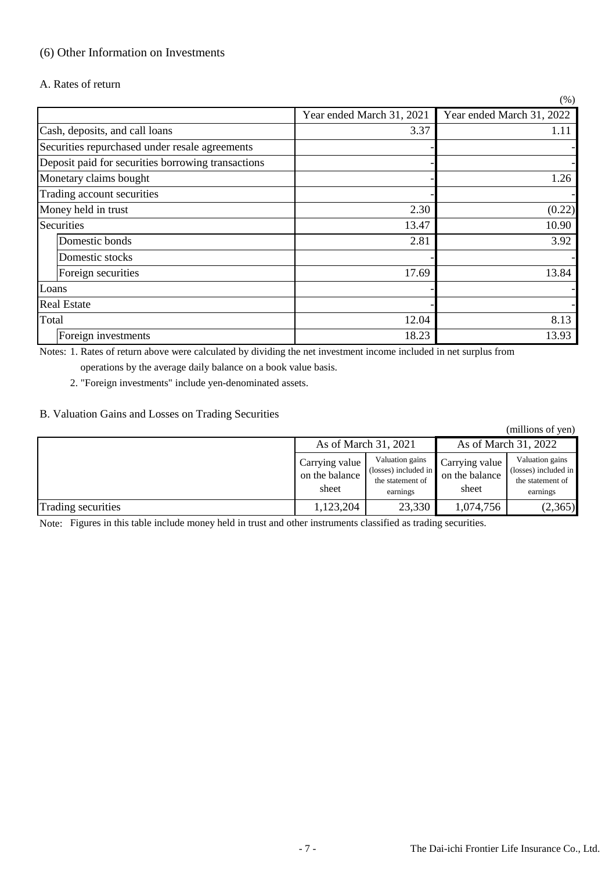## (6) Other Information on Investments

A. Rates of return

|                                                    |                           | (% )                      |
|----------------------------------------------------|---------------------------|---------------------------|
|                                                    | Year ended March 31, 2021 | Year ended March 31, 2022 |
| Cash, deposits, and call loans                     | 3.37                      | 1.11                      |
| Securities repurchased under resale agreements     |                           |                           |
| Deposit paid for securities borrowing transactions |                           |                           |
| Monetary claims bought                             |                           | 1.26                      |
| Trading account securities                         |                           |                           |
| Money held in trust                                | 2.30                      | (0.22)                    |
| Securities                                         | 13.47                     | 10.90                     |
| Domestic bonds                                     | 2.81                      | 3.92                      |
| Domestic stocks                                    |                           |                           |
| Foreign securities                                 | 17.69                     | 13.84                     |
| Loans                                              |                           |                           |
| <b>Real Estate</b>                                 |                           |                           |
| Total                                              | 12.04                     | 8.13                      |
| Foreign investments                                | 18.23                     | 13.93                     |

Notes: 1. Rates of return above were calculated by dividing the net investment income included in net surplus from

operations by the average daily balance on a book value basis.

2. "Foreign investments" include yen-denominated assets.

### B. Valuation Gains and Losses on Trading Securities

(millions of yen)

|                    | As of March 31, 2021                      |                                                                         | As of March 31, 2022                      |                                                                         |  |
|--------------------|-------------------------------------------|-------------------------------------------------------------------------|-------------------------------------------|-------------------------------------------------------------------------|--|
|                    | Carrying value<br>on the balance<br>sheet | Valuation gains<br>(losses) included in<br>the statement of<br>earnings | Carrying value<br>on the balance<br>sheet | Valuation gains<br>(losses) included in<br>the statement of<br>earnings |  |
| Trading securities | 1,123,204                                 | 23,330                                                                  | 1,074,756                                 | (2,365)                                                                 |  |

Note: Figures in this table include money held in trust and other instruments classified as trading securities.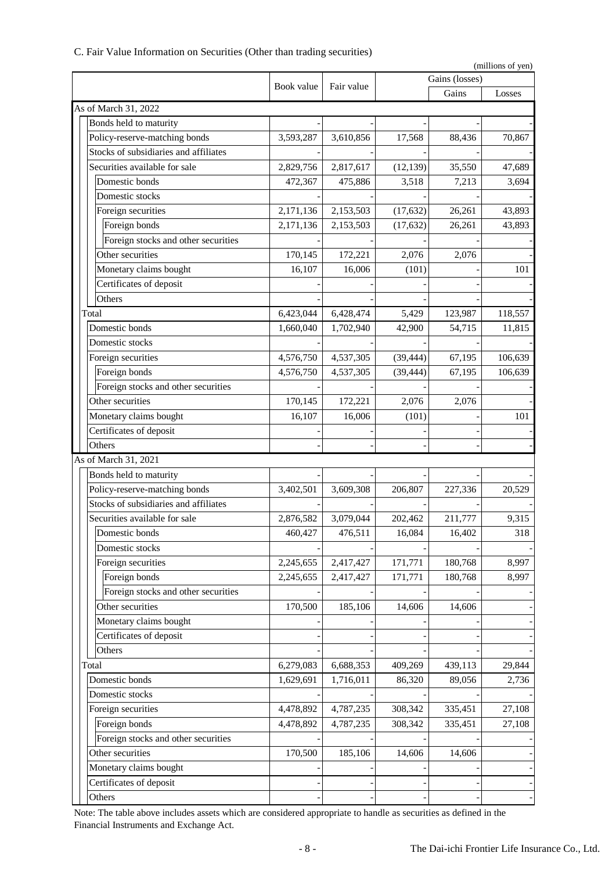| C. Fair Value Information on Securities (Other than trading securities) |  |  |  |  |  |  |  |  |  |
|-------------------------------------------------------------------------|--|--|--|--|--|--|--|--|--|
|-------------------------------------------------------------------------|--|--|--|--|--|--|--|--|--|

| (millions of yen) |                                       |            |            |           |                |         |
|-------------------|---------------------------------------|------------|------------|-----------|----------------|---------|
|                   |                                       | Book value | Fair value |           | Gains (losses) |         |
|                   |                                       |            |            |           | Gains          | Losses  |
|                   | As of March 31, 2022                  |            |            |           |                |         |
|                   | Bonds held to maturity                |            |            |           |                |         |
|                   | Policy-reserve-matching bonds         | 3,593,287  | 3,610,856  | 17,568    | 88,436         | 70,867  |
|                   | Stocks of subsidiaries and affiliates |            |            |           |                |         |
|                   | Securities available for sale         | 2,829,756  | 2,817,617  | (12, 139) | 35,550         | 47,689  |
|                   | Domestic bonds                        | 472,367    | 475,886    | 3,518     | 7,213          | 3,694   |
|                   | Domestic stocks                       |            |            |           |                |         |
|                   | Foreign securities                    | 2,171,136  | 2,153,503  | (17, 632) | 26,261         | 43,893  |
|                   | Foreign bonds                         | 2,171,136  | 2,153,503  | (17, 632) | 26,261         | 43,893  |
|                   | Foreign stocks and other securities   |            |            |           |                |         |
|                   | Other securities                      | 170,145    | 172,221    | 2,076     | 2,076          |         |
|                   | Monetary claims bought                | 16,107     | 16,006     | (101)     |                | 101     |
|                   | Certificates of deposit               |            |            |           |                |         |
|                   | Others                                |            |            |           |                |         |
|                   | Total                                 | 6,423,044  | 6,428,474  | 5,429     | 123,987        | 118,557 |
|                   | Domestic bonds                        | 1,660,040  | 1,702,940  | 42,900    | 54,715         | 11,815  |
|                   | Domestic stocks                       |            |            |           |                |         |
|                   | Foreign securities                    | 4,576,750  | 4,537,305  | (39, 444) | 67,195         | 106,639 |
|                   | Foreign bonds                         | 4,576,750  | 4,537,305  | (39, 444) | 67,195         | 106,639 |
|                   | Foreign stocks and other securities   |            |            |           |                |         |
|                   | Other securities                      | 170,145    | 172,221    | 2,076     | 2,076          |         |
|                   | Monetary claims bought                | 16,107     | 16,006     | (101)     |                | 101     |
|                   | Certificates of deposit               |            |            |           |                |         |
|                   | Others                                |            |            |           |                |         |
|                   | As of March 31, 2021                  |            |            |           |                |         |
|                   | Bonds held to maturity                |            |            |           |                |         |
|                   | Policy-reserve-matching bonds         | 3,402,501  | 3,609,308  | 206,807   | 227,336        | 20,529  |
|                   | Stocks of subsidiaries and affiliates |            |            |           |                |         |
|                   | Securities available for sale         | 2,876,582  | 3,079,044  | 202,462   | 211,777        | 9,315   |
|                   | Domestic bonds                        | 460,427    | 476,511    | 16,084    | 16,402         | 318     |
|                   | Domestic stocks                       |            |            |           |                |         |
|                   | Foreign securities                    | 2,245,655  | 2,417,427  | 171,771   | 180,768        | 8,997   |
|                   | Foreign bonds                         | 2,245,655  | 2,417,427  | 171,771   | 180,768        | 8,997   |
|                   | Foreign stocks and other securities   |            |            |           |                |         |
|                   | Other securities                      | 170,500    | 185,106    | 14,606    | 14,606         |         |
|                   | Monetary claims bought                |            |            |           |                |         |
|                   | Certificates of deposit               |            |            |           |                |         |
|                   | Others                                |            |            |           |                |         |
|                   | Total                                 | 6,279,083  | 6,688,353  | 409,269   | 439,113        | 29,844  |
|                   | Domestic bonds                        | 1,629,691  | 1,716,011  | 86,320    | 89,056         | 2,736   |
|                   | Domestic stocks                       |            |            |           |                |         |
|                   | Foreign securities                    | 4,478,892  | 4,787,235  | 308,342   | 335,451        | 27,108  |
|                   | Foreign bonds                         | 4,478,892  | 4,787,235  | 308,342   | 335,451        | 27,108  |
|                   | Foreign stocks and other securities   |            |            |           |                |         |
|                   | Other securities                      | 170,500    | 185,106    | 14,606    | 14,606         |         |
|                   | Monetary claims bought                |            |            |           |                |         |
|                   | Certificates of deposit               |            |            |           |                |         |
|                   | Others                                |            |            |           |                |         |
|                   |                                       |            |            |           |                |         |

Note: The table above includes assets which are considered appropriate to handle as securities as defined in the Financial Instruments and Exchange Act.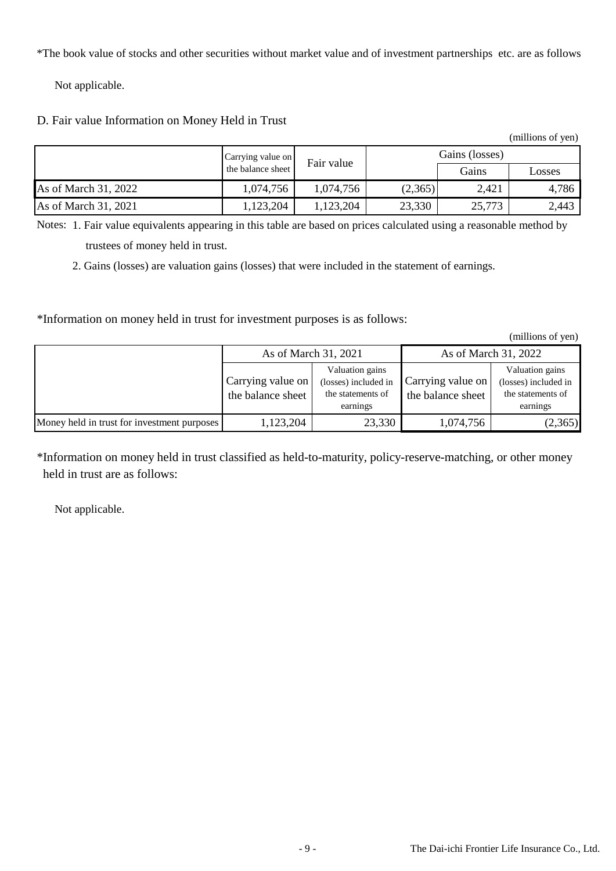\*The book value of stocks and other securities without market value and of investment partnerships etc. are as follows:

Not applicable.

## D. Fair value Information on Money Held in Trust

|                      |                   |            |         |                | (THILIONS OF YEAL) |
|----------------------|-------------------|------------|---------|----------------|--------------------|
|                      | Carrying value on | Fair value |         | Gains (losses) |                    |
|                      | the balance sheet |            |         | Gains          | Losses             |
| As of March 31, 2022 | 1,074,756         | 1,074,756  | (2,365) | 2,421          | 4,786              |
| As of March 31, 2021 | 1,123,204         | 1,123,204  | 23,330  | 25,773         | 2,443              |

Notes: 1. Fair value equivalents appearing in this table are based on prices calculated using a reasonable method by trustees of money held in trust.

2. Gains (losses) are valuation gains (losses) that were included in the statement of earnings.

\*Information on money held in trust for investment purposes is as follows:

(millions of yen)

 $(m)$ llions of  $(mn)$ 

|                                             | As of March 31, 2021                   |                                                                          | As of March 31, 2022                   |                                                                          |  |  |
|---------------------------------------------|----------------------------------------|--------------------------------------------------------------------------|----------------------------------------|--------------------------------------------------------------------------|--|--|
|                                             | Carrying value on<br>the balance sheet | Valuation gains<br>(losses) included in<br>the statements of<br>earnings | Carrying value on<br>the balance sheet | Valuation gains<br>(losses) included in<br>the statements of<br>earnings |  |  |
| Money held in trust for investment purposes | 1,123,204                              | 23,330                                                                   | 1,074,756                              | (2,365)                                                                  |  |  |

\*Information on money held in trust classified as held-to-maturity, policy-reserve-matching, or other money held in trust are as follows:

Not applicable.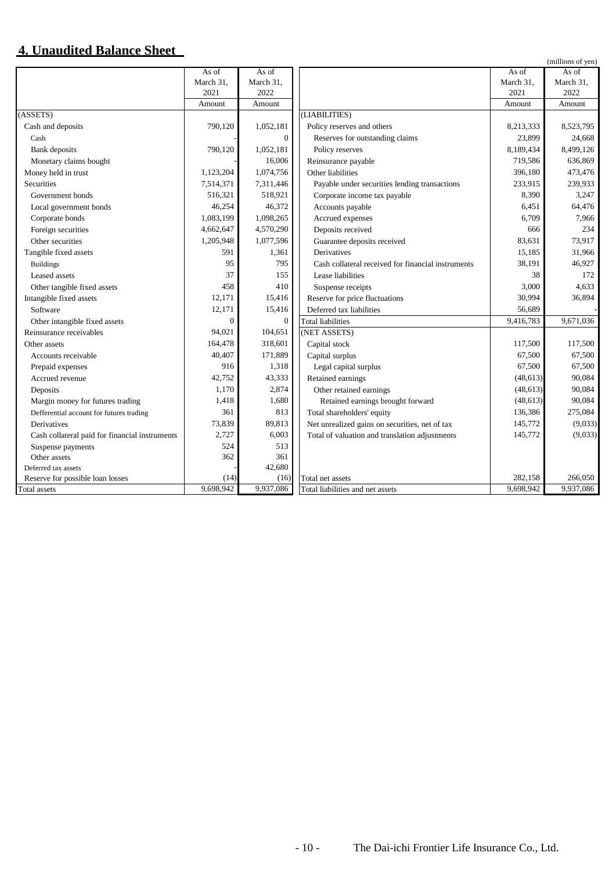## **4. Unaudited Balance Sheet**

|                                                |           |           |                                                    |           | (millions of yen) |
|------------------------------------------------|-----------|-----------|----------------------------------------------------|-----------|-------------------|
|                                                | As of     | As of     |                                                    | As of     | As of             |
|                                                | March 31, | March 31, |                                                    | March 31, | March 31,         |
|                                                | 2021      | 2022      |                                                    | 2021      | 2022              |
|                                                | Amount    | Amount    |                                                    | Amount    | Amount            |
| (ASSETS)                                       |           |           | (LIABILITIES)                                      |           |                   |
| Cash and deposits                              | 790,120   | 1,052,181 | Policy reserves and others                         | 8,213,333 | 8,523,795         |
| Cash                                           |           | $\theta$  | Reserves for outstanding claims                    | 23,899    | 24,668            |
| <b>Bank</b> deposits                           | 790,120   | 1,052,181 | Policy reserves                                    | 8,189,434 | 8,499,126         |
| Monetary claims bought                         |           | 16,006    | Reinsurance payable                                | 719,586   | 636,869           |
| Money held in trust                            | 1,123,204 | 1,074,756 | Other liabilities                                  | 396,180   | 473,476           |
| Securities                                     | 7,514,371 | 7,311,446 | Payable under securities lending transactions      | 233,915   | 239,933           |
| Government bonds                               | 516,321   | 518,921   | Corporate income tax payable                       | 8,390     | 3,247             |
| Local government bonds                         | 46,254    | 46,372    | Accounts payable                                   | 6,451     | 64,476            |
| Corporate bonds                                | 1,083,199 | 1,098,265 | Accrued expenses                                   | 6,709     | 7,966             |
| Foreign securities                             | 4,662,647 | 4,570,290 | Deposits received                                  | 666       | 234               |
| Other securities                               | 1,205,948 | 1,077,596 | Guarantee deposits received                        | 83,631    | 73,917            |
| Tangible fixed assets                          | 591       | 1,361     | Derivatives                                        | 15,185    | 31,966            |
| <b>Buildings</b>                               | 95        | 795       | Cash collateral received for financial instruments | 38.191    | 46,927            |
| Leased assets                                  | 37        | 155       | Lease liabilities                                  | 38        | 172               |
| Other tangible fixed assets                    | 458       | 410       | Suspense receipts                                  | 3,000     | 4,633             |
| Intangible fixed assets                        | 12,171    | 15,416    | Reserve for price fluctuations                     | 30,994    | 36,894            |
| Software                                       | 12,171    | 15,416    | Deferred tax liabilities                           | 56,689    |                   |
| Other intangible fixed assets                  | $\Omega$  | $\Omega$  | <b>Total liabilities</b>                           | 9,416,783 | 9,671,036         |
| Reinsurance receivables                        | 94,021    | 104,651   | (NET ASSETS)                                       |           |                   |
| Other assets                                   | 164,478   | 318,601   | Capital stock                                      | 117,500   | 117,500           |
| Accounts receivable                            | 40,407    | 171,889   | Capital surplus                                    | 67,500    | 67,500            |
| Prepaid expenses                               | 916       | 1,318     | Legal capital surplus                              | 67,500    | 67,500            |
| Accrued revenue                                | 42,752    | 43,333    | Retained earnings                                  | (48, 613) | 90,084            |
| Deposits                                       | 1,170     | 2,874     | Other retained earnings                            | (48, 613) | 90,084            |
| Margin money for futures trading               | 1,418     | 1,680     | Retained earnings brought forward                  | (48, 613) | 90,084            |
| Defferential account for futures trading       | 361       | 813       | Total shareholders' equity                         | 136,386   | 275,084           |
| <b>Derivatives</b>                             | 73,839    | 89,813    | Net unrealized gains on securities, net of tax     | 145,772   | (9,033)           |
| Cash collateral paid for financial instruments | 2,727     | 6,003     | Total of valuation and translation adjustments     | 145,772   | (9,033)           |
| Suspense payments                              | 524       | 513       |                                                    |           |                   |
| Other assets                                   | 362       | 361       |                                                    |           |                   |
| Deferred tax assets                            |           | 42,680    |                                                    |           |                   |
| Reserve for possible loan losses               | (14)      | (16)      | Total net assets                                   | 282,158   | 266,050           |
| Total assets                                   | 9.698.942 | 9,937,086 | Total liabilities and net assets                   | 9,698,942 | 9,937,086         |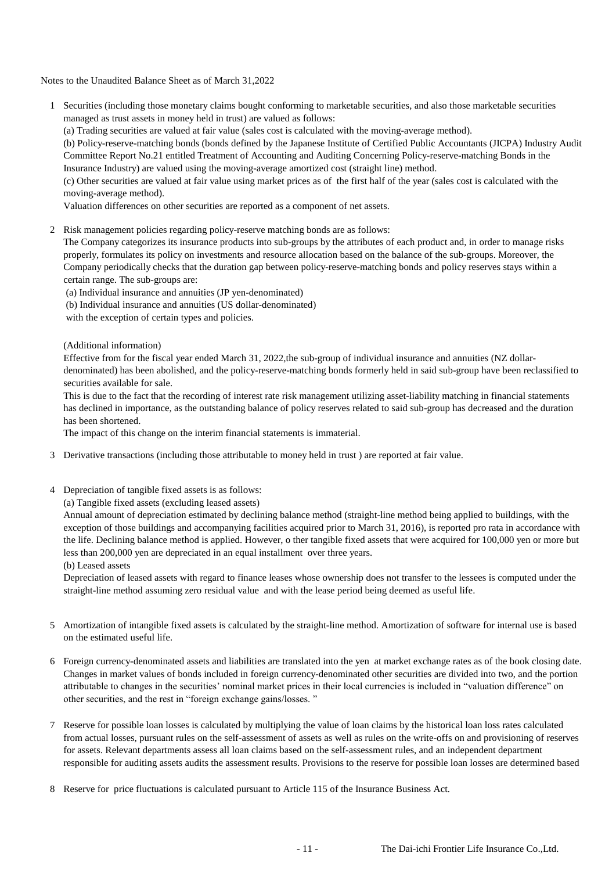Notes to the Unaudited Balance Sheet as of March 31,2022

1 Securities (including those monetary claims bought conforming to marketable securities, and also those marketable securities managed as trust assets in money held in trust) are valued as follows:

(a) Trading securities are valued at fair value (sales cost is calculated with the moving-average method).

(b) Policy-reserve-matching bonds (bonds defined by the Japanese Institute of Certified Public Accountants (JICPA) Industry Audit Committee Report No.21 entitled Treatment of Accounting and Auditing Concerning Policy-reserve-matching Bonds in the Insurance Industry) are valued using the moving-average amortized cost (straight line) method.

(c) Other securities are valued at fair value using market prices as of the first half of the year (sales cost is calculated with the moving-average method).

Valuation differences on other securities are reported as a component of net assets.

2 Risk management policies regarding policy-reserve matching bonds are as follows:

The Company categorizes its insurance products into sub-groups by the attributes of each product and, in order to manage risks properly, formulates its policy on investments and resource allocation based on the balance of the sub-groups. Moreover, the Company periodically checks that the duration gap between policy-reserve-matching bonds and policy reserves stays within a certain range. The sub-groups are:

(a) Individual insurance and annuities (JP yen-denominated)

(b) Individual insurance and annuities (US dollar-denominated)

with the exception of certain types and policies.

(Additional information)

Effective from for the fiscal year ended March 31, 2022,the sub-group of individual insurance and annuities (NZ dollardenominated) has been abolished, and the policy-reserve-matching bonds formerly held in said sub-group have been reclassified to securities available for sale.

This is due to the fact that the recording of interest rate risk management utilizing asset-liability matching in financial statements has declined in importance, as the outstanding balance of policy reserves related to said sub-group has decreased and the duration has been shortened.

The impact of this change on the interim financial statements is immaterial.

- 3 Derivative transactions (including those attributable to money held in trust ) are reported at fair value.
- 4 Depreciation of tangible fixed assets is as follows:

(a) Tangible fixed assets (excluding leased assets)

Annual amount of depreciation estimated by declining balance method (straight-line method being applied to buildings, with the exception of those buildings and accompanying facilities acquired prior to March 31, 2016), is reported pro rata in accordance with the life. Declining balance method is applied. However, o ther tangible fixed assets that were acquired for 100,000 yen or more but less than 200,000 yen are depreciated in an equal installment over three years.

(b) Leased assets

Depreciation of leased assets with regard to finance leases whose ownership does not transfer to the lessees is computed under the straight-line method assuming zero residual value and with the lease period being deemed as useful life.

- 5 Amortization of intangible fixed assets is calculated by the straight-line method. Amortization of software for internal use is based on the estimated useful life.
- 6 Foreign currency-denominated assets and liabilities are translated into the yen at market exchange rates as of the book closing date. Changes in market values of bonds included in foreign currency-denominated other securities are divided into two, and the portion attributable to changes in the securities' nominal market prices in their local currencies is included in "valuation difference" on other securities, and the rest in "foreign exchange gains/losses. "
- 7 Reserve for possible loan losses is calculated by multiplying the value of loan claims by the historical loan loss rates calculated from actual losses, pursuant rules on the self-assessment of assets as well as rules on the write-offs on and provisioning of reserves for assets. Relevant departments assess all loan claims based on the self-assessment rules, and an independent department responsible for auditing assets audits the assessment results. Provisions to the reserve for possible loan losses are determined based
- 8 Reserve for price fluctuations is calculated pursuant to Article 115 of the Insurance Business Act.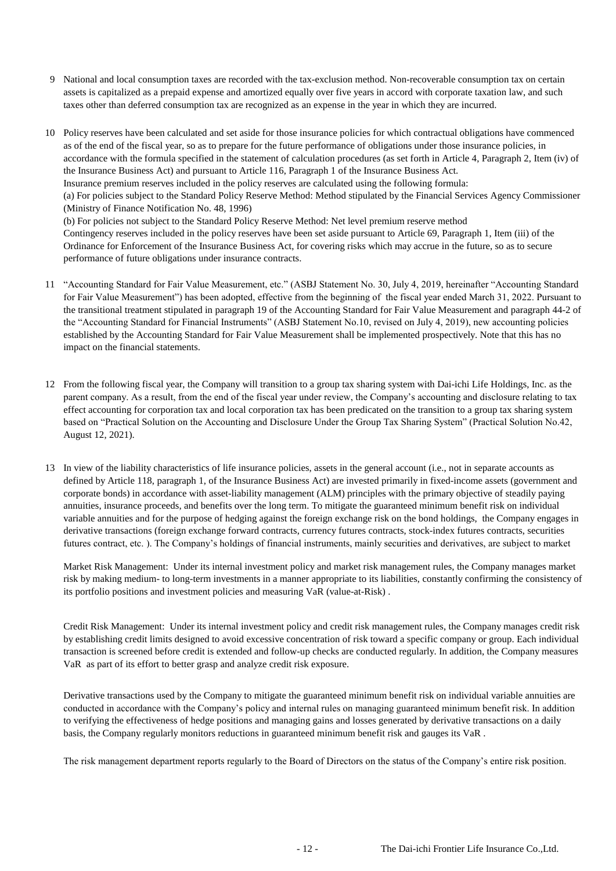- 9 National and local consumption taxes are recorded with the tax-exclusion method. Non-recoverable consumption tax on certain assets is capitalized as a prepaid expense and amortized equally over five years in accord with corporate taxation law, and such taxes other than deferred consumption tax are recognized as an expense in the year in which they are incurred.
- 10 Policy reserves have been calculated and set aside for those insurance policies for which contractual obligations have commenced as of the end of the fiscal year, so as to prepare for the future performance of obligations under those insurance policies, in accordance with the formula specified in the statement of calculation procedures (as set forth in Article 4, Paragraph 2, Item (iv) of the Insurance Business Act) and pursuant to Article 116, Paragraph 1 of the Insurance Business Act. Insurance premium reserves included in the policy reserves are calculated using the following formula: (a) For policies subject to the Standard Policy Reserve Method: Method stipulated by the Financial Services Agency Commissioner (Ministry of Finance Notification No. 48, 1996) (b) For policies not subject to the Standard Policy Reserve Method: Net level premium reserve method Contingency reserves included in the policy reserves have been set aside pursuant to Article 69, Paragraph 1, Item (iii) of the Ordinance for Enforcement of the Insurance Business Act, for covering risks which may accrue in the future, so as to secure performance of future obligations under insurance contracts.
- 11 "Accounting Standard for Fair Value Measurement, etc." (ASBJ Statement No. 30, July 4, 2019, hereinafter "Accounting Standard for Fair Value Measurement") has been adopted, effective from the beginning of the fiscal year ended March 31, 2022. Pursuant to the transitional treatment stipulated in paragraph 19 of the Accounting Standard for Fair Value Measurement and paragraph 44-2 of the "Accounting Standard for Financial Instruments" (ASBJ Statement No.10, revised on July 4, 2019), new accounting policies established by the Accounting Standard for Fair Value Measurement shall be implemented prospectively. Note that this has no impact on the financial statements.
- 12 From the following fiscal year, the Company will transition to a group tax sharing system with Dai-ichi Life Holdings, Inc. as the parent company. As a result, from the end of the fiscal year under review, the Company's accounting and disclosure relating to tax effect accounting for corporation tax and local corporation tax has been predicated on the transition to a group tax sharing system based on "Practical Solution on the Accounting and Disclosure Under the Group Tax Sharing System" (Practical Solution No.42, August 12, 2021).
- 13 In view of the liability characteristics of life insurance policies, assets in the general account (i.e., not in separate accounts as defined by Article 118, paragraph 1, of the Insurance Business Act) are invested primarily in fixed-income assets (government and corporate bonds) in accordance with asset-liability management (ALM) principles with the primary objective of steadily paying annuities, insurance proceeds, and benefits over the long term. To mitigate the guaranteed minimum benefit risk on individual variable annuities and for the purpose of hedging against the foreign exchange risk on the bond holdings, the Company engages in derivative transactions (foreign exchange forward contracts, currency futures contracts, stock-index futures contracts, securities futures contract, etc. ). The Company's holdings of financial instruments, mainly securities and derivatives, are subject to market

Market Risk Management: Under its internal investment policy and market risk management rules, the Company manages market risk by making medium- to long-term investments in a manner appropriate to its liabilities, constantly confirming the consistency of its portfolio positions and investment policies and measuring VaR (value-at-Risk) .

Credit Risk Management: Under its internal investment policy and credit risk management rules, the Company manages credit risk by establishing credit limits designed to avoid excessive concentration of risk toward a specific company or group. Each individual transaction is screened before credit is extended and follow-up checks are conducted regularly. In addition, the Company measures VaR as part of its effort to better grasp and analyze credit risk exposure.

Derivative transactions used by the Company to mitigate the guaranteed minimum benefit risk on individual variable annuities are conducted in accordance with the Company's policy and internal rules on managing guaranteed minimum benefit risk. In addition to verifying the effectiveness of hedge positions and managing gains and losses generated by derivative transactions on a daily basis, the Company regularly monitors reductions in guaranteed minimum benefit risk and gauges its VaR .

The risk management department reports regularly to the Board of Directors on the status of the Company's entire risk position.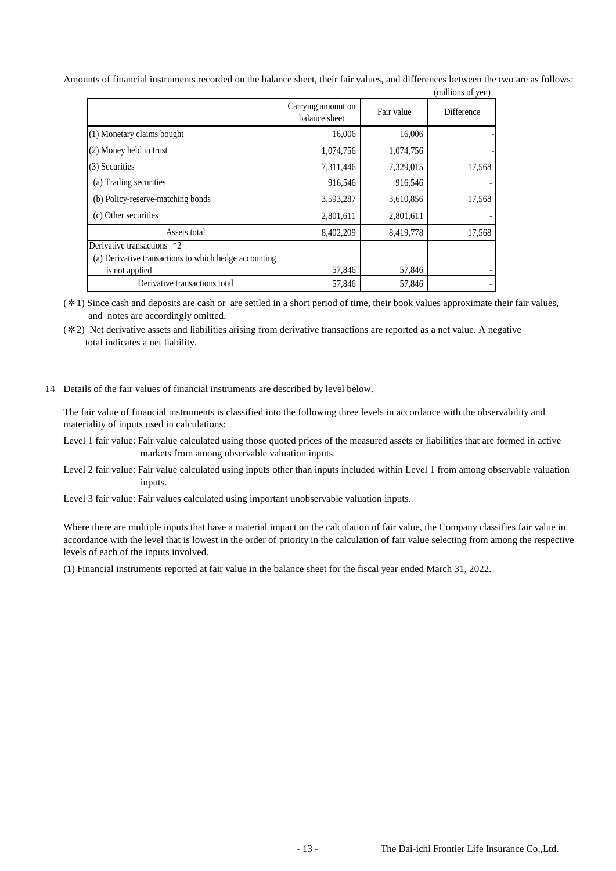| Amounts of financial instruments recorded on the balance sheet, their fair values, and differences between the two are as follows: |  |                   |  |
|------------------------------------------------------------------------------------------------------------------------------------|--|-------------------|--|
|                                                                                                                                    |  | (millione of van) |  |

|                                                       |                                     |            | (THILITOIIS OF VEIL) |
|-------------------------------------------------------|-------------------------------------|------------|----------------------|
|                                                       | Carrying amount on<br>balance sheet | Fair value | Difference           |
| (1) Monetary claims bought                            | 16,006                              | 16,006     |                      |
| (2) Money held in trust                               | 1,074,756                           | 1,074,756  |                      |
| (3) Securities                                        | 7,311,446                           | 7,329,015  | 17,568               |
| (a) Trading securities                                | 916,546                             | 916,546    |                      |
| (b) Policy-reserve-matching bonds                     | 3,593,287                           | 3,610,856  | 17,568               |
| (c) Other securities                                  | 2,801,611                           | 2,801,611  |                      |
| Assets total                                          | 8,402,209                           | 8,419,778  | 17,568               |
| Derivative transactions<br>$*2$                       |                                     |            |                      |
| (a) Derivative transactions to which hedge accounting |                                     |            |                      |
| is not applied                                        | 57,846                              | 57,846     |                      |
| Derivative transactions total                         | 57,846                              | 57,846     |                      |

(✼1) Since cash and deposits are cash or are settled in a short period of time, their book values approximate their fair values, and notes are accordingly omitted.

- (✼2) Net derivative assets and liabilities arising from derivative transactions are reported as a net value. A negative total indicates a net liability.
- 14 Details of the fair values of financial instruments are described by level below.

The fair value of financial instruments is classified into the following three levels in accordance with the observability and materiality of inputs used in calculations:

- Level 1 fair value: Fair value calculated using those quoted prices of the measured assets or liabilities that are formed in active markets from among observable valuation inputs.
- Level 2 fair value: Fair value calculated using inputs other than inputs included within Level 1 from among observable valuation inputs.

Level 3 fair value: Fair values calculated using important unobservable valuation inputs.

Where there are multiple inputs that have a material impact on the calculation of fair value, the Company classifies fair value in accordance with the level that is lowest in the order of priority in the calculation of fair value selecting from among the respective levels of each of the inputs involved.

(1) Financial instruments reported at fair value in the balance sheet for the fiscal year ended March 31, 2022.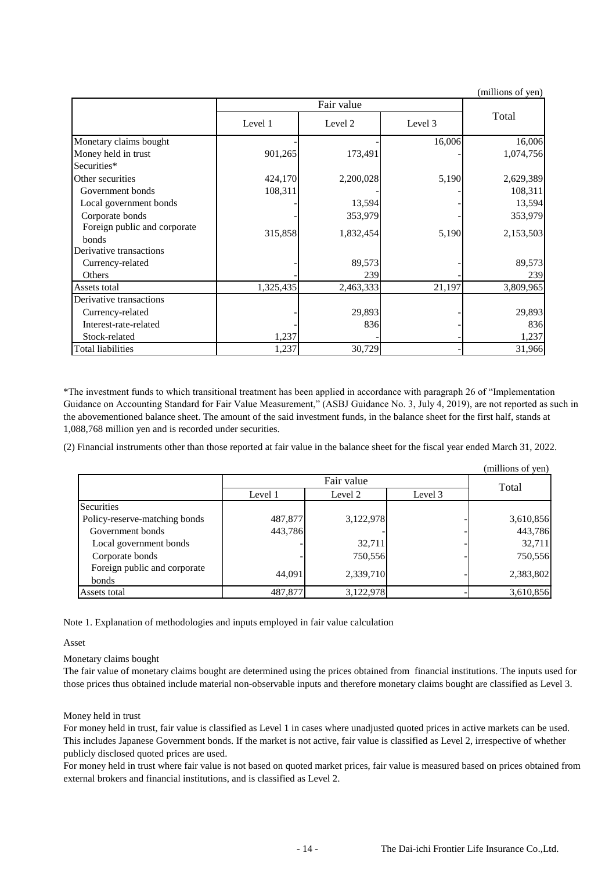|                                       |           |           |         | (millions of yen) |
|---------------------------------------|-----------|-----------|---------|-------------------|
|                                       |           |           |         |                   |
|                                       | Level 1   | Level 2   | Level 3 | Total             |
| Monetary claims bought                |           |           | 16,006  | 16,006            |
| Money held in trust                   | 901,265   | 173,491   |         | 1,074,756         |
| Securities*                           |           |           |         |                   |
| Other securities                      | 424,170   | 2,200,028 | 5,190   | 2,629,389         |
| Government bonds                      | 108,311   |           |         | 108,311           |
| Local government bonds                |           | 13,594    |         | 13,594            |
| Corporate bonds                       |           | 353,979   |         | 353,979           |
| Foreign public and corporate<br>bonds | 315,858   | 1,832,454 | 5,190   | 2,153,503         |
| Derivative transactions               |           |           |         |                   |
| Currency-related                      |           | 89,573    |         | 89,573            |
| Others                                |           | 239       |         | 239               |
| Assets total                          | 1,325,435 | 2,463,333 | 21,197  | 3,809,965         |
| Derivative transactions               |           |           |         |                   |
| Currency-related                      |           | 29,893    |         | 29,893            |
| Interest-rate-related                 |           | 836       |         | 836               |
| Stock-related                         | 1,237     |           |         | 1,237             |
| Total liabilities                     | 1,237     | 30,729    |         | 31,966            |

\*The investment funds to which transitional treatment has been applied in accordance with paragraph 26 of "Implementation Guidance on Accounting Standard for Fair Value Measurement," (ASBJ Guidance No. 3, July 4, 2019), are not reported as such in the abovementioned balance sheet. The amount of the said investment funds, in the balance sheet for the first half, stands at 1,088,768 million yen and is recorded under securities.

(2) Financial instruments other than those reported at fair value in the balance sheet for the fiscal year ended March 31, 2022.

|                               |         |            |         | (millions of yen) |
|-------------------------------|---------|------------|---------|-------------------|
|                               |         | Fair value |         | Total             |
|                               | Level 1 | Level 2    | Level 3 |                   |
| Securities                    |         |            |         |                   |
| Policy-reserve-matching bonds | 487,877 | 3,122,978  |         | 3,610,856         |
| Government bonds              | 443,786 |            |         | 443,786           |
| Local government bonds        |         | 32,711     |         | 32,711            |
| Corporate bonds               |         | 750,556    |         | 750,556           |
| Foreign public and corporate  | 44.091  | 2,339,710  |         | 2,383,802         |
| bonds                         |         |            |         |                   |
| Assets total                  | 487,877 | 3,122,978  |         | 3,610,856         |

Note 1. Explanation of methodologies and inputs employed in fair value calculation

Asset

Monetary claims bought

The fair value of monetary claims bought are determined using the prices obtained from financial institutions. The inputs used for those prices thus obtained include material non-observable inputs and therefore monetary claims bought are classified as Level 3.

Money held in trust

For money held in trust, fair value is classified as Level 1 in cases where unadjusted quoted prices in active markets can be used. This includes Japanese Government bonds. If the market is not active, fair value is classified as Level 2, irrespective of whether publicly disclosed quoted prices are used.

For money held in trust where fair value is not based on quoted market prices, fair value is measured based on prices obtained from external brokers and financial institutions, and is classified as Level 2.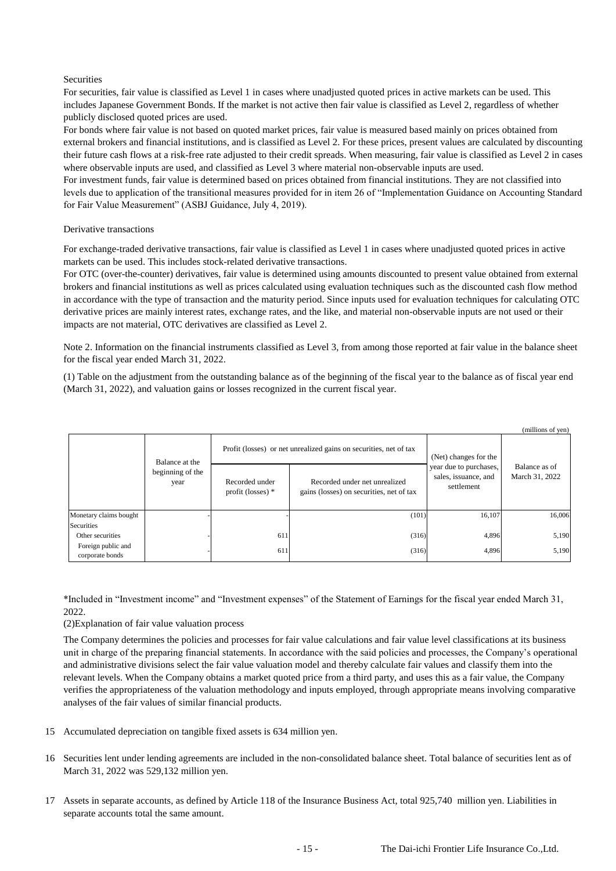### Securities

For securities, fair value is classified as Level 1 in cases where unadjusted quoted prices in active markets can be used. This includes Japanese Government Bonds. If the market is not active then fair value is classified as Level 2, regardless of whether publicly disclosed quoted prices are used.

For bonds where fair value is not based on quoted market prices, fair value is measured based mainly on prices obtained from external brokers and financial institutions, and is classified as Level 2. For these prices, present values are calculated by discounting their future cash flows at a risk-free rate adjusted to their credit spreads. When measuring, fair value is classified as Level 2 in cases where observable inputs are used, and classified as Level 3 where material non-observable inputs are used.

For investment funds, fair value is determined based on prices obtained from financial institutions. They are not classified into levels due to application of the transitional measures provided for in item 26 of "Implementation Guidance on Accounting Standard for Fair Value Measurement" (ASBJ Guidance, July 4, 2019).

#### Derivative transactions

For exchange-traded derivative transactions, fair value is classified as Level 1 in cases where unadjusted quoted prices in active markets can be used. This includes stock-related derivative transactions.

For OTC (over-the-counter) derivatives, fair value is determined using amounts discounted to present value obtained from external brokers and financial institutions as well as prices calculated using evaluation techniques such as the discounted cash flow method in accordance with the type of transaction and the maturity period. Since inputs used for evaluation techniques for calculating OTC derivative prices are mainly interest rates, exchange rates, and the like, and material non-observable inputs are not used or their impacts are not material, OTC derivatives are classified as Level 2.

Note 2. Information on the financial instruments classified as Level 3, from among those reported at fair value in the balance sheet for the fiscal year ended March 31, 2022.

(1) Table on the adjustment from the outstanding balance as of the beginning of the fiscal year to the balance as of fiscal year end (March 31, 2022), and valuation gains or losses recognized in the current fiscal year.

|                                                                         |                          |                                       |                                                                           |                                                              | (millions of yen)               |
|-------------------------------------------------------------------------|--------------------------|---------------------------------------|---------------------------------------------------------------------------|--------------------------------------------------------------|---------------------------------|
| Balance at the                                                          |                          |                                       | Profit (losses) or net unrealized gains on securities, net of tax         | (Net) changes for the                                        |                                 |
|                                                                         | beginning of the<br>year | Recorded under<br>profit (losses) $*$ | Recorded under net unrealized<br>gains (losses) on securities, net of tax | year due to purchases,<br>sales, issuance, and<br>settlement | Balance as of<br>March 31, 2022 |
| Monetary claims bought                                                  |                          |                                       | (101)                                                                     | 16,107                                                       | 16,006                          |
| Securities<br>Other securities<br>Foreign public and<br>corporate bonds |                          | 611<br>611                            | (316)<br>(316)                                                            | 4,896<br>4,896                                               | 5,190<br>5,190                  |

\*Included in "Investment income" and "Investment expenses" of the Statement of Earnings for the fiscal year ended March 31, 2022.

(2)Explanation of fair value valuation process

The Company determines the policies and processes for fair value calculations and fair value level classifications at its business unit in charge of the preparing financial statements. In accordance with the said policies and processes, the Company's operational and administrative divisions select the fair value valuation model and thereby calculate fair values and classify them into the relevant levels. When the Company obtains a market quoted price from a third party, and uses this as a fair value, the Company verifies the appropriateness of the valuation methodology and inputs employed, through appropriate means involving comparative analyses of the fair values of similar financial products.

- 15 Accumulated depreciation on tangible fixed assets is 634 million yen.
- 16 Securities lent under lending agreements are included in the non-consolidated balance sheet. Total balance of securities lent as of March 31, 2022 was 529,132 million yen.
- 17 Assets in separate accounts, as defined by Article 118 of the Insurance Business Act, total 925,740 million yen. Liabilities in separate accounts total the same amount.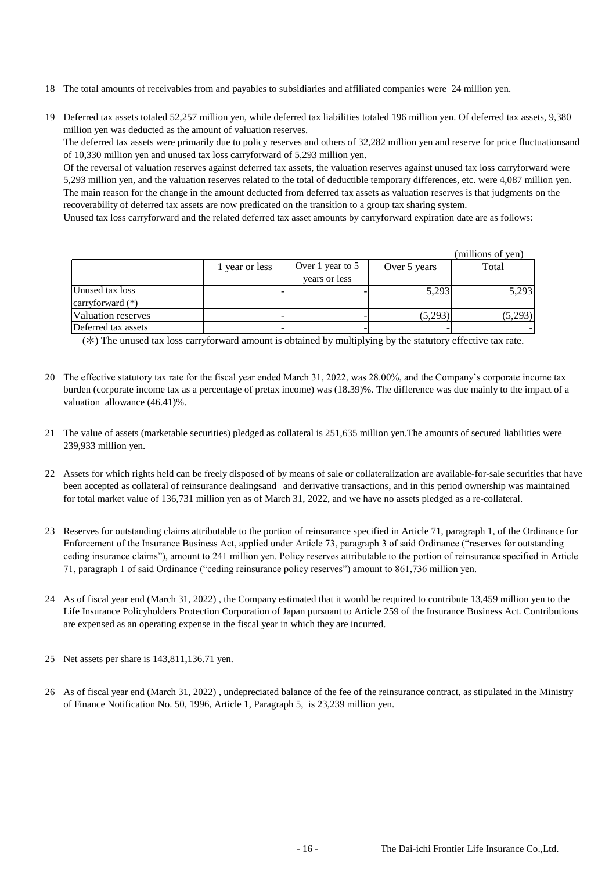- 18 The total amounts of receivables from and payables to subsidiaries and affiliated companies were 24 million yen.
- 19 Deferred tax assets totaled 52,257 million yen, while deferred tax liabilities totaled 196 million yen. Of deferred tax assets, 9,380 million yen was deducted as the amount of valuation reserves.

The deferred tax assets were primarily due to policy reserves and others of 32,282 million yen and reserve for price fluctuationsand of 10,330 million yen and unused tax loss carryforward of 5,293 million yen.

Of the reversal of valuation reserves against deferred tax assets, the valuation reserves against unused tax loss carryforward were 5,293 million yen, and the valuation reserves related to the total of deductible temporary differences, etc. were 4,087 million yen. The main reason for the change in the amount deducted from deferred tax assets as valuation reserves is that judgments on the recoverability of deferred tax assets are now predicated on the transition to a group tax sharing system.

Unused tax loss carryforward and the related deferred tax asset amounts by carryforward expiration date are as follows:

|                     |                |                  |              | (millions of yen) |
|---------------------|----------------|------------------|--------------|-------------------|
|                     | 1 year or less | Over 1 year to 5 | Over 5 years | Total             |
|                     |                | years or less    |              |                   |
| Unused tax loss     |                |                  | 5,293        | 5,293             |
| carryforward $(*)$  |                |                  |              |                   |
| Valuation reserves  |                |                  | (5,293)      | (5,293)           |
| Deferred tax assets |                |                  |              |                   |

(✼) The unused tax loss carryforward amount is obtained by multiplying by the statutory effective tax rate.

- 20 The effective statutory tax rate for the fiscal year ended March 31, 2022, was 28.00%, and the Company's corporate income tax burden (corporate income tax as a percentage of pretax income) was (18.39)%. The difference was due mainly to the impact of a valuation allowance (46.41)%.
- 21 The value of assets (marketable securities) pledged as collateral is 251,635 million yen.The amounts of secured liabilities were 239,933 million yen.
- 22 Assets for which rights held can be freely disposed of by means of sale or collateralization are available-for-sale securities that have been accepted as collateral of reinsurance dealingsand and derivative transactions, and in this period ownership was maintained for total market value of 136,731 million yen as of March 31, 2022, and we have no assets pledged as a re-collateral.
- 23 Reserves for outstanding claims attributable to the portion of reinsurance specified in Article 71, paragraph 1, of the Ordinance for Enforcement of the Insurance Business Act, applied under Article 73, paragraph 3 of said Ordinance ("reserves for outstanding ceding insurance claims"), amount to 241 million yen. Policy reserves attributable to the portion of reinsurance specified in Article 71, paragraph 1 of said Ordinance ("ceding reinsurance policy reserves") amount to 861,736 million yen.
- 24 As of fiscal year end (March 31, 2022) , the Company estimated that it would be required to contribute 13,459 million yen to the Life Insurance Policyholders Protection Corporation of Japan pursuant to Article 259 of the Insurance Business Act. Contributions are expensed as an operating expense in the fiscal year in which they are incurred.
- 25 Net assets per share is 143,811,136.71 yen.
- 26 As of fiscal year end (March 31, 2022) , undepreciated balance of the fee of the reinsurance contract, as stipulated in the Ministry of Finance Notification No. 50, 1996, Article 1, Paragraph 5, is 23,239 million yen.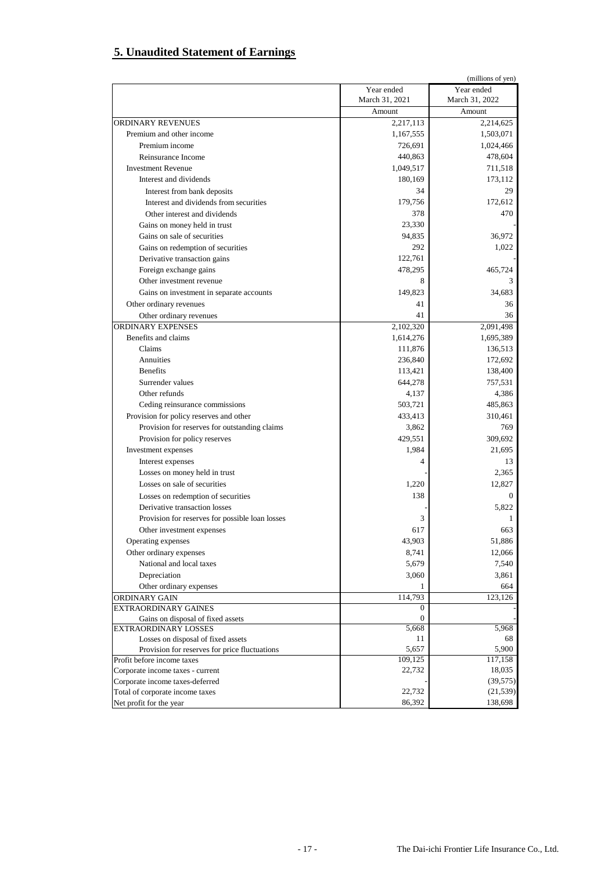## **5. Unaudited Statement of Earnings**

|                                                 |                         | (millions of yen) |
|-------------------------------------------------|-------------------------|-------------------|
|                                                 | Year ended              | Year ended        |
|                                                 | March 31, 2021          | March 31, 2022    |
|                                                 | Amount                  | Amount            |
| ORDINARY REVENUES                               | 2,217,113               | 2,214,625         |
| Premium and other income                        | 1,167,555               | 1,503,071         |
| Premium income                                  | 726,691                 | 1,024,466         |
| Reinsurance Income                              | 440,863                 | 478,604           |
| <b>Investment Revenue</b>                       | 1,049,517               | 711,518           |
| Interest and dividends                          | 180,169                 | 173,112           |
| Interest from bank deposits                     | 34                      | 29                |
| Interest and dividends from securities          | 179,756                 | 172.612           |
| Other interest and dividends                    | 378                     | 470               |
| Gains on money held in trust                    | 23,330                  |                   |
| Gains on sale of securities                     | 94,835                  | 36,972            |
| Gains on redemption of securities               | 292                     | 1,022             |
| Derivative transaction gains                    | 122,761                 |                   |
| Foreign exchange gains                          | 478,295                 | 465,724           |
| Other investment revenue                        | 8                       | 3                 |
| Gains on investment in separate accounts        | 149,823                 | 34.683            |
| Other ordinary revenues                         | 41                      | 36                |
| Other ordinary revenues                         | 41                      | 36                |
| <b>ORDINARY EXPENSES</b>                        | 2,102,320               | 2,091,498         |
| Benefits and claims                             | 1,614,276               | 1,695,389         |
| Claims                                          | 111,876                 | 136,513           |
| Annuities                                       | 236,840                 | 172,692           |
| <b>Benefits</b>                                 | 113,421                 | 138,400           |
| Surrender values                                | 644,278                 | 757,531           |
| Other refunds                                   | 4,137                   | 4,386             |
| Ceding reinsurance commissions                  | 503,721                 | 485,863           |
| Provision for policy reserves and other         | 433,413                 | 310,461           |
| Provision for reserves for outstanding claims   | 3,862                   | 769               |
| Provision for policy reserves                   | 429,551                 | 309,692           |
| Investment expenses                             | 1,984                   | 21,695            |
| Interest expenses                               | 4                       | 13                |
| Losses on money held in trust                   |                         | 2,365             |
| Losses on sale of securities                    | 1,220                   | 12,827            |
| Losses on redemption of securities              | 138                     | $\mathbf{0}$      |
| Derivative transaction losses                   |                         | 5,822             |
| Provision for reserves for possible loan losses | 3                       | 1                 |
|                                                 | 617                     | 663               |
| Other investment expenses<br>Operating expenses | 43,903                  | 51,886            |
| Other ordinary expenses                         | 8,741                   | 12,066            |
| National and local taxes                        | 5,679                   | 7,540             |
|                                                 | 3,060                   |                   |
| Depreciation                                    |                         | 3,861             |
| Other ordinary expenses                         | 1                       | 664               |
| ORDINARY GAIN<br>EXTRAORDINARY GAINES           | 114,793<br>$\mathbf{0}$ | 123,126           |
| Gains on disposal of fixed assets               | $\overline{0}$          |                   |
| <b>EXTRAORDINARY LOSSES</b>                     | 5,668                   | 5,968             |
| Losses on disposal of fixed assets              | 11                      | 68                |
| Provision for reserves for price fluctuations   | 5,657                   | 5,900             |
| Profit before income taxes                      | 109,125                 | 117,158           |
| Corporate income taxes - current                | 22,732                  | 18,035            |
| Corporate income taxes-deferred                 |                         | (39, 575)         |
| Total of corporate income taxes                 | 22,732                  | (21, 539)         |
| Net profit for the year                         | 86,392                  | 138,698           |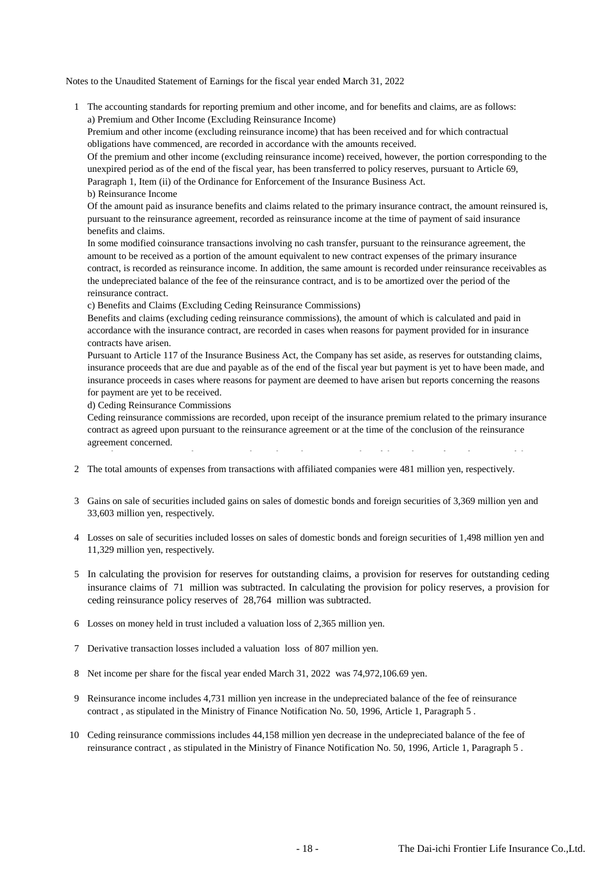Notes to the Unaudited Statement of Earnings for the fiscal year ended March 31, 2022

 1 The accounting standards for reporting premium and other income, and for benefits and claims, are as follows: a) Premium and Other Income (Excluding Reinsurance Income)

Premium and other income (excluding reinsurance income) that has been received and for which contractual obligations have commenced, are recorded in accordance with the amounts received.

Of the premium and other income (excluding reinsurance income) received, however, the portion corresponding to the unexpired period as of the end of the fiscal year, has been transferred to policy reserves, pursuant to Article 69, Paragraph 1, Item (ii) of the Ordinance for Enforcement of the Insurance Business Act.

b) Reinsurance Income

Of the amount paid as insurance benefits and claims related to the primary insurance contract, the amount reinsured is, pursuant to the reinsurance agreement, recorded as reinsurance income at the time of payment of said insurance benefits and claims.

In some modified coinsurance transactions involving no cash transfer, pursuant to the reinsurance agreement, the amount to be received as a portion of the amount equivalent to new contract expenses of the primary insurance contract, is recorded as reinsurance income. In addition, the same amount is recorded under reinsurance receivables as the undepreciated balance of the fee of the reinsurance contract, and is to be amortized over the period of the reinsurance contract.

c) Benefits and Claims (Excluding Ceding Reinsurance Commissions)

Benefits and claims (excluding ceding reinsurance commissions), the amount of which is calculated and paid in accordance with the insurance contract, are recorded in cases when reasons for payment provided for in insurance contracts have arisen.

Pursuant to Article 117 of the Insurance Business Act, the Company has set aside, as reserves for outstanding claims, insurance proceeds that are due and payable as of the end of the fiscal year but payment is yet to have been made, and insurance proceeds in cases where reasons for payment are deemed to have arisen but reports concerning the reasons for payment are yet to be received.

d) Ceding Reinsurance Commissions

Ceding reinsurance commissions are recorded, upon receipt of the insurance premium related to the primary insurance contract as agreed upon pursuant to the reinsurance agreement or at the time of the conclusion of the reinsurance agreement concerned.

- 2 The total amounts of expenses from transactions with affiliated companies were 481 million yen, respectively.
- 3 Gains on sale of securities included gains on sales of domestic bonds and foreign securities of 3,369 million yen and 33,603 million yen, respectively.

Note that pursuant to Article 71, Paragraph 1 and Article 73, Paragraph 3 of the Ordinance for Enforcement of the

- 4 Losses on sale of securities included losses on sales of domestic bonds and foreign securities of 1,498 million yen and 11,329 million yen, respectively.
- 5 In calculating the provision for reserves for outstanding claims, a provision for reserves for outstanding ceding insurance claims of 71 million was subtracted. In calculating the provision for policy reserves, a provision for ceding reinsurance policy reserves of 28,764 million was subtracted.
- 6 Losses on money held in trust included a valuation loss of 2,365 million yen.
- 7 Derivative transaction losses included a valuation loss of 807 million yen.
- 8 Net income per share for the fiscal year ended March 31, 2022 was 74,972,106.69 yen.
- 9 Reinsurance income includes 4,731 million yen increase in the undepreciated balance of the fee of reinsurance contract , as stipulated in the Ministry of Finance Notification No. 50, 1996, Article 1, Paragraph 5 .
- 10 Ceding reinsurance commissions includes 44,158 million yen decrease in the undepreciated balance of the fee of reinsurance contract , as stipulated in the Ministry of Finance Notification No. 50, 1996, Article 1, Paragraph 5 .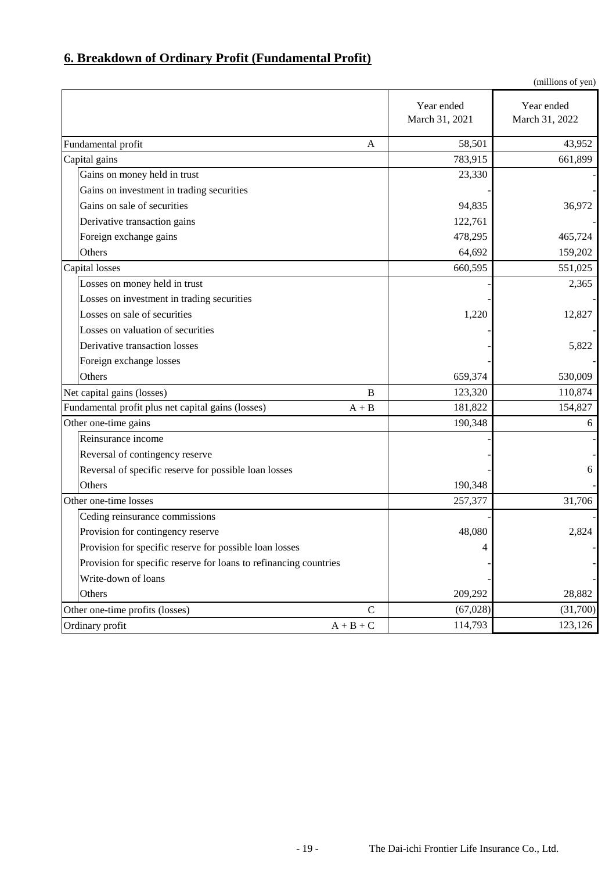## **6. Breakdown of Ordinary Profit (Fundamental Profit)**

|                                                                   |                                    |                              | (millions of yen)            |
|-------------------------------------------------------------------|------------------------------------|------------------------------|------------------------------|
|                                                                   |                                    | Year ended<br>March 31, 2021 | Year ended<br>March 31, 2022 |
| Fundamental profit                                                | A                                  | 58,501                       | 43,952                       |
| Capital gains                                                     |                                    | 783,915                      | 661,899                      |
| Gains on money held in trust                                      |                                    | 23,330                       |                              |
| Gains on investment in trading securities                         |                                    |                              |                              |
| Gains on sale of securities                                       |                                    | 94,835                       | 36,972                       |
| Derivative transaction gains                                      |                                    | 122,761                      |                              |
| Foreign exchange gains                                            |                                    | 478,295                      | 465,724                      |
| Others                                                            |                                    | 64,692                       | 159,202                      |
| Capital losses                                                    |                                    | 660,595                      | 551,025                      |
| Losses on money held in trust                                     |                                    |                              | 2,365                        |
| Losses on investment in trading securities                        |                                    |                              |                              |
| Losses on sale of securities                                      |                                    | 1,220                        | 12,827                       |
| Losses on valuation of securities                                 |                                    |                              |                              |
| Derivative transaction losses                                     |                                    |                              | 5,822                        |
| Foreign exchange losses                                           |                                    |                              |                              |
| Others                                                            |                                    | 659,374                      | 530,009                      |
| Net capital gains (losses)                                        | B                                  | 123,320                      | 110,874                      |
| Fundamental profit plus net capital gains (losses)                | $A + B$                            | 181,822                      | 154,827                      |
| Other one-time gains                                              |                                    | 190,348                      | 6                            |
| Reinsurance income                                                |                                    |                              |                              |
| Reversal of contingency reserve                                   |                                    |                              |                              |
| Reversal of specific reserve for possible loan losses             |                                    |                              | 6                            |
| Others                                                            |                                    | 190,348                      |                              |
| Other one-time losses                                             |                                    | 257,377                      | 31,706                       |
| Ceding reinsurance commissions                                    |                                    |                              |                              |
| Provision for contingency reserve                                 |                                    | 48,080                       | 2,824                        |
| Provision for specific reserve for possible loan losses           |                                    | 4                            |                              |
| Provision for specific reserve for loans to refinancing countries |                                    |                              |                              |
| Write-down of loans                                               |                                    |                              |                              |
| Others                                                            |                                    | 209,292                      | 28,882                       |
| Other one-time profits (losses)                                   | $\mathsf{C}$                       | (67, 028)                    | (31,700)                     |
| Ordinary profit                                                   | $\mathbf{A}+\mathbf{B}+\mathbf{C}$ | 114,793                      | 123,126                      |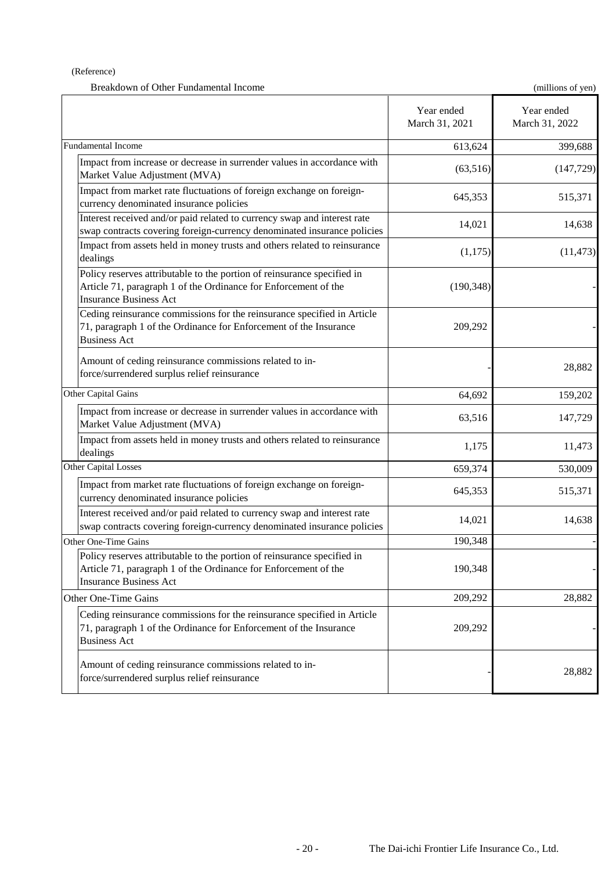### (Reference)

| Breakdown of Other Fundamental Income                                                                                                                                       |                              | (millions of yen)            |
|-----------------------------------------------------------------------------------------------------------------------------------------------------------------------------|------------------------------|------------------------------|
|                                                                                                                                                                             | Year ended<br>March 31, 2021 | Year ended<br>March 31, 2022 |
| <b>Fundamental Income</b>                                                                                                                                                   | 613,624                      | 399,688                      |
| Impact from increase or decrease in surrender values in accordance with<br>Market Value Adjustment (MVA)                                                                    | (63, 516)                    | (147, 729)                   |
| Impact from market rate fluctuations of foreign exchange on foreign-<br>currency denominated insurance policies                                                             | 645,353                      | 515,371                      |
| Interest received and/or paid related to currency swap and interest rate<br>swap contracts covering foreign-currency denominated insurance policies                         | 14,021                       | 14,638                       |
| Impact from assets held in money trusts and others related to reinsurance<br>dealings                                                                                       | (1,175)                      | (11, 473)                    |
| Policy reserves attributable to the portion of reinsurance specified in<br>Article 71, paragraph 1 of the Ordinance for Enforcement of the<br><b>Insurance Business Act</b> | (190, 348)                   |                              |
| Ceding reinsurance commissions for the reinsurance specified in Article<br>71, paragraph 1 of the Ordinance for Enforcement of the Insurance<br><b>Business Act</b>         | 209,292                      |                              |
| Amount of ceding reinsurance commissions related to in-<br>force/surrendered surplus relief reinsurance                                                                     |                              | 28,882                       |
| Other Capital Gains                                                                                                                                                         | 64,692                       | 159,202                      |
| Impact from increase or decrease in surrender values in accordance with<br>Market Value Adjustment (MVA)                                                                    | 63,516                       | 147,729                      |
| Impact from assets held in money trusts and others related to reinsurance<br>dealings                                                                                       | 1,175                        | 11,473                       |
| <b>Other Capital Losses</b>                                                                                                                                                 | 659,374                      | 530,009                      |
| Impact from market rate fluctuations of foreign exchange on foreign-<br>currency denominated insurance policies                                                             | 645,353                      | 515,371                      |
| Interest received and/or paid related to currency swap and interest rate<br>swap contracts covering foreign-currency denominated insurance policies                         | 14,021                       | 14,638                       |
| Other One-Time Gains                                                                                                                                                        | 190,348                      |                              |
| Policy reserves attributable to the portion of reinsurance specified in<br>Article 71, paragraph 1 of the Ordinance for Enforcement of the<br><b>Insurance Business Act</b> | 190,348                      |                              |
| Other One-Time Gains                                                                                                                                                        | 209,292                      | 28,882                       |
| Ceding reinsurance commissions for the reinsurance specified in Article<br>71, paragraph 1 of the Ordinance for Enforcement of the Insurance<br><b>Business Act</b>         | 209,292                      |                              |
| Amount of ceding reinsurance commissions related to in-<br>force/surrendered surplus relief reinsurance                                                                     |                              | 28,882                       |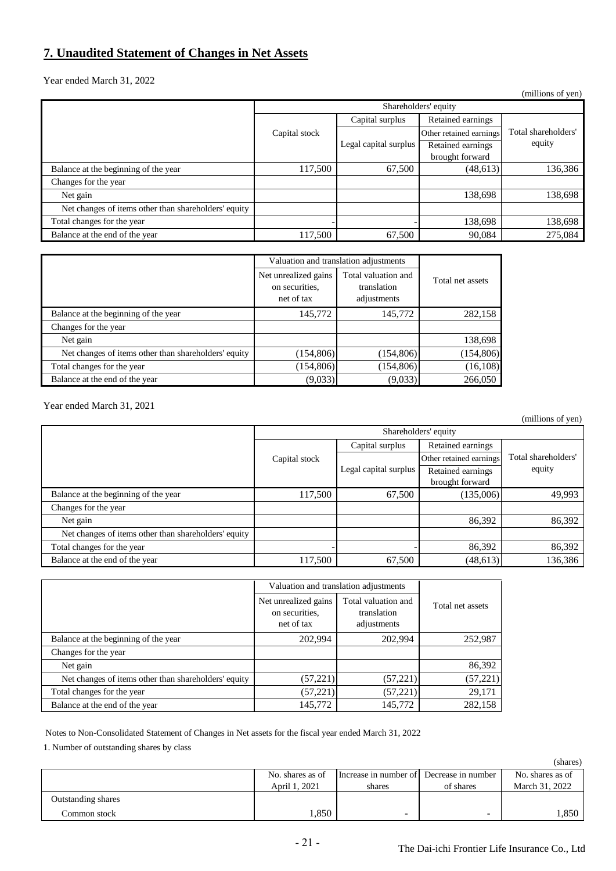## **7. Unaudited Statement of Changes in Net Assets**

Year ended March 31, 2022

|                                                      |                      |                       |                         | (millions of yen)   |  |
|------------------------------------------------------|----------------------|-----------------------|-------------------------|---------------------|--|
|                                                      | Shareholders' equity |                       |                         |                     |  |
|                                                      |                      | Capital surplus       | Retained earnings       |                     |  |
|                                                      | Capital stock        |                       | Other retained earnings | Total shareholders' |  |
|                                                      |                      | Legal capital surplus | Retained earnings       | equity              |  |
|                                                      |                      |                       | brought forward         |                     |  |
| Balance at the beginning of the year                 | 117,500              | 67,500                | (48, 613)               | 136,386             |  |
| Changes for the year                                 |                      |                       |                         |                     |  |
| Net gain                                             |                      |                       | 138,698                 | 138,698             |  |
| Net changes of items other than shareholders' equity |                      |                       |                         |                     |  |
| Total changes for the year                           |                      |                       | 138,698                 | 138,698             |  |
| Balance at the end of the year                       | 117,500              | 67,500                | 90,084                  | 275,084             |  |

|                                                      |                                                      | Valuation and translation adjustments             |                  |  |
|------------------------------------------------------|------------------------------------------------------|---------------------------------------------------|------------------|--|
|                                                      | Net unrealized gains<br>on securities.<br>net of tax | Total valuation and<br>translation<br>adjustments | Total net assets |  |
| Balance at the beginning of the year                 | 145,772                                              | 145,772                                           | 282,158          |  |
| Changes for the year                                 |                                                      |                                                   |                  |  |
| Net gain                                             |                                                      |                                                   | 138,698          |  |
| Net changes of items other than shareholders' equity | (154, 806)                                           | (154, 806)                                        | (154,806)        |  |
| Total changes for the year                           | (154, 806)                                           | (154, 806)                                        | (16, 108)        |  |
| Balance at the end of the year                       | (9,033)                                              | (9,033)                                           | 266,050          |  |

Year ended March 31, 2021

|                                                      |                      |                       |                         | (millions of yen)   |  |
|------------------------------------------------------|----------------------|-----------------------|-------------------------|---------------------|--|
|                                                      | Shareholders' equity |                       |                         |                     |  |
|                                                      |                      | Capital surplus       | Retained earnings       |                     |  |
|                                                      | Capital stock        |                       | Other retained earnings | Total shareholders' |  |
|                                                      |                      | Legal capital surplus | Retained earnings       | equity              |  |
|                                                      |                      |                       | brought forward         |                     |  |
| Balance at the beginning of the year                 | 117,500              | 67,500                | (135,006)               | 49,993              |  |
| Changes for the year                                 |                      |                       |                         |                     |  |
| Net gain                                             |                      |                       | 86,392                  | 86,392              |  |
| Net changes of items other than shareholders' equity |                      |                       |                         |                     |  |
| Total changes for the year                           |                      |                       | 86,392                  | 86,392              |  |
| Balance at the end of the year                       | 117,500              | 67,500                | (48, 613)               | 136,386             |  |

|                                                      |                                                      | Valuation and translation adjustments             |                  |  |
|------------------------------------------------------|------------------------------------------------------|---------------------------------------------------|------------------|--|
|                                                      | Net unrealized gains<br>on securities.<br>net of tax | Total valuation and<br>translation<br>adjustments | Total net assets |  |
| Balance at the beginning of the year                 | 202,994                                              | 202,994                                           | 252,987          |  |
| Changes for the year                                 |                                                      |                                                   |                  |  |
| Net gain                                             |                                                      |                                                   | 86,392           |  |
| Net changes of items other than shareholders' equity | (57, 221)                                            | (57, 221)                                         | (57, 221)        |  |
| Total changes for the year                           | (57, 221)                                            | (57, 221)                                         | 29,171           |  |
| Balance at the end of the year                       | 145,772                                              | 145,772                                           | 282,158          |  |

Notes to Non-Consolidated Statement of Changes in Net assets for the fiscal year ended March 31, 2022

1. Number of outstanding shares by class

|                           |                  |                                          |                          | (shares)         |
|---------------------------|------------------|------------------------------------------|--------------------------|------------------|
|                           | No. shares as of | Increase in number of Decrease in number |                          | No. shares as of |
|                           | April 1, 2021    | shares                                   | of shares                | March 31, 2022   |
| <b>Outstanding shares</b> |                  |                                          |                          |                  |
| Common stock              | .350             | $\overline{\phantom{0}}$                 | $\overline{\phantom{0}}$ | .,850            |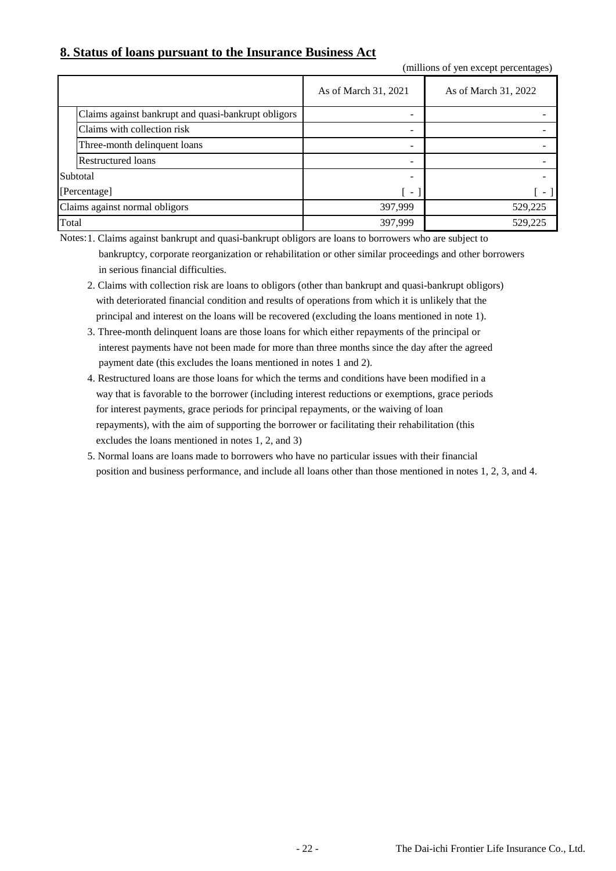## **8. Status of loans pursuant to the Insurance Business Act**

(millions of yen except percentages)

|                                |                                                     | As of March 31, 2021     | As of March 31, 2022 |
|--------------------------------|-----------------------------------------------------|--------------------------|----------------------|
|                                | Claims against bankrupt and quasi-bankrupt obligors |                          |                      |
|                                | Claims with collection risk                         |                          |                      |
|                                | Three-month delinquent loans                        |                          |                      |
|                                | <b>Restructured loans</b>                           |                          |                      |
| Subtotal                       |                                                     |                          |                      |
|                                | [Percentage]                                        | $\overline{\phantom{a}}$ | - 1                  |
| Claims against normal obligors |                                                     | 397,999                  | 529,225              |
| Total                          |                                                     | 397,999                  | 529,225              |

Notes: 1. Claims against bankrupt and quasi-bankrupt obligors are loans to borrowers who are subject to

 bankruptcy, corporate reorganization or rehabilitation or other similar proceedings and other borrowers in serious financial difficulties.

- 2. Claims with collection risk are loans to obligors (other than bankrupt and quasi-bankrupt obligors) with deteriorated financial condition and results of operations from which it is unlikely that the principal and interest on the loans will be recovered (excluding the loans mentioned in note 1).
- 3. Three-month delinquent loans are those loans for which either repayments of the principal or interest payments have not been made for more than three months since the day after the agreed payment date (this excludes the loans mentioned in notes 1 and 2).
- 4. Restructured loans are those loans for which the terms and conditions have been modified in a way that is favorable to the borrower (including interest reductions or exemptions, grace periods for interest payments, grace periods for principal repayments, or the waiving of loan repayments), with the aim of supporting the borrower or facilitating their rehabilitation (this excludes the loans mentioned in notes 1, 2, and 3)
- 5. Normal loans are loans made to borrowers who have no particular issues with their financial position and business performance, and include all loans other than those mentioned in notes 1, 2, 3, and 4.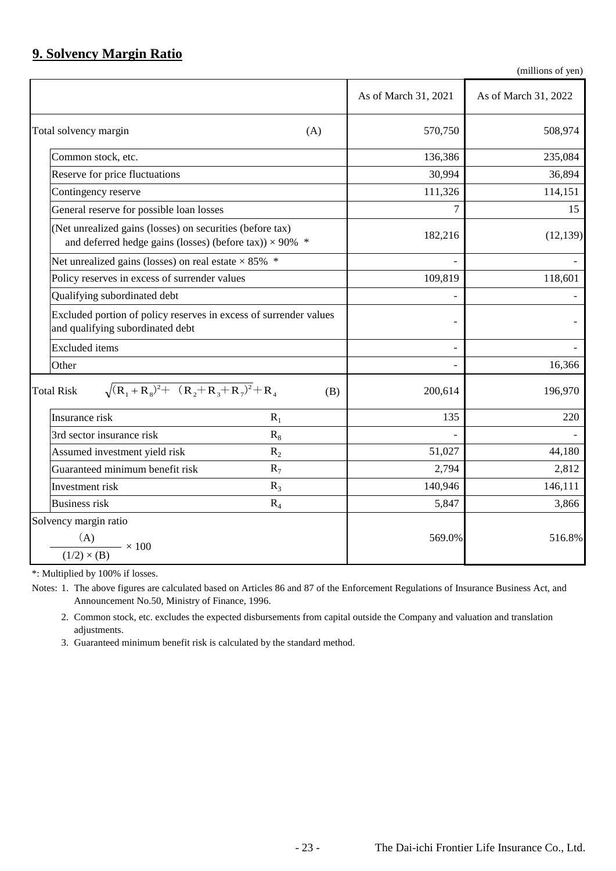## **9. Solvency Margin Ratio**

(millions of yen)

|                                                                                                                               | As of March 31, 2021 | As of March 31, 2022 |
|-------------------------------------------------------------------------------------------------------------------------------|----------------------|----------------------|
| Total solvency margin<br>(A)                                                                                                  | 570,750              | 508,974              |
| Common stock, etc.                                                                                                            | 136,386              | 235,084              |
| Reserve for price fluctuations                                                                                                | 30,994               | 36,894               |
| Contingency reserve                                                                                                           | 111,326              | 114,151              |
| General reserve for possible loan losses                                                                                      | 7                    | 15                   |
| (Net unrealized gains (losses) on securities (before tax)<br>and deferred hedge gains (losses) (before tax)) $\times$ 90% $*$ | 182,216              | (12, 139)            |
| Net unrealized gains (losses) on real estate $\times$ 85% $*$                                                                 |                      |                      |
| Policy reserves in excess of surrender values                                                                                 | 109,819              | 118,601              |
| Qualifying subordinated debt                                                                                                  |                      |                      |
| Excluded portion of policy reserves in excess of surrender values<br>and qualifying subordinated debt                         |                      |                      |
| <b>Excluded</b> items                                                                                                         |                      |                      |
| Other                                                                                                                         |                      | 16,366               |
| $\sqrt{(R_1+R_8)^2+(R_2+R_3+R_7)^2}+R_4$<br><b>Total Risk</b><br>(B)                                                          | 200,614              | 196,970              |
| Insurance risk<br>$R_1$                                                                                                       | 135                  | 220                  |
| $R_8$<br>3rd sector insurance risk                                                                                            |                      |                      |
| Assumed investment yield risk<br>$R_2$                                                                                        | 51,027               | 44,180               |
| Guaranteed minimum benefit risk<br>$R_7$                                                                                      | 2,794                | 2,812                |
| Investment risk<br>$R_3$                                                                                                      | 140,946              | 146,111              |
| <b>Business risk</b><br>$R_4$                                                                                                 | 5,847                | 3,866                |
| Solvency margin ratio<br>(A)<br>(1/2) × (B) $\times$ 100                                                                      | 569.0%               | 516.8%               |

\*: Multiplied by 100% if losses.

Notes: 1. The above figures are calculated based on Articles 86 and 87 of the Enforcement Regulations of Insurance Business Act, and Announcement No.50, Ministry of Finance, 1996.

2. Common stock, etc. excludes the expected disbursements from capital outside the Company and valuation and translation adjustments.

3. Guaranteed minimum benefit risk is calculated by the standard method.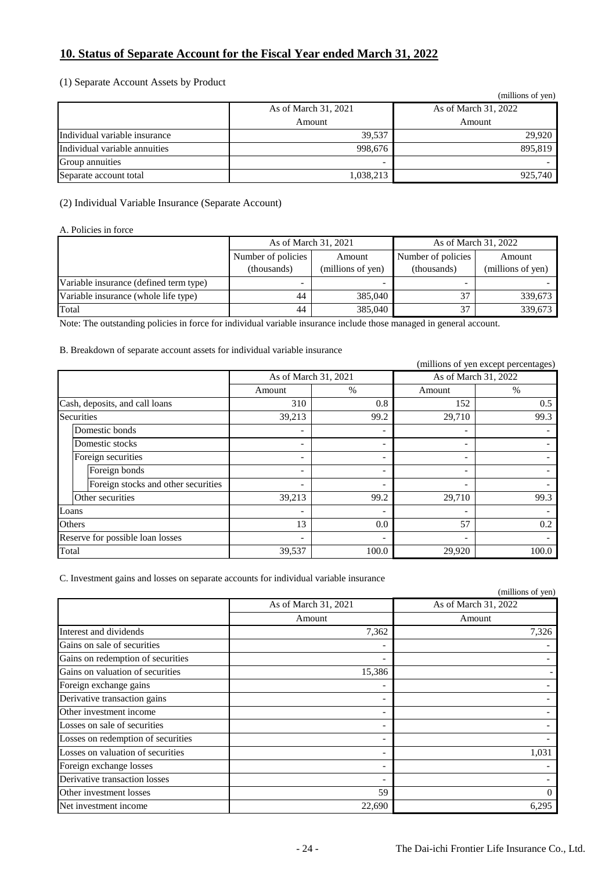## **10. Status of Separate Account for the Fiscal Year ended March 31, 2022**

### (1) Separate Account Assets by Product

|                               |                      | (millions of yen)    |
|-------------------------------|----------------------|----------------------|
|                               | As of March 31, 2021 | As of March 31, 2022 |
|                               | Amount               | Amount               |
| Individual variable insurance | 39.537               | 29.920               |
| Individual variable annuities | 998,676              | 895,819              |
| Group annuities               |                      |                      |
| Separate account total        | 1,038,213            | 925,740              |

### (2) Individual Variable Insurance (Separate Account)

#### A. Policies in force

|                                        | As of March 31, 2021              |                             | As of March 31, 2022              |                             |
|----------------------------------------|-----------------------------------|-----------------------------|-----------------------------------|-----------------------------|
|                                        | Number of policies<br>(thousands) | Amount<br>(millions of yen) | Number of policies<br>(thousands) | Amount<br>(millions of yen) |
| Variable insurance (defined term type) | $\overline{\phantom{a}}$          |                             |                                   |                             |
| Variable insurance (whole life type)   | 44                                | 385,040                     | 37                                | 339.673                     |
| Total                                  | 44                                | 385,040                     | 37                                | 339,673                     |

Note: The outstanding policies in force for individual variable insurance include those managed in general account.

### B. Breakdown of separate account assets for individual variable insurance

|                                     |                              |                          |        | (millions of yen except percentages) |  |
|-------------------------------------|------------------------------|--------------------------|--------|--------------------------------------|--|
|                                     | As of March 31, 2021         |                          |        | As of March 31, 2022                 |  |
|                                     | Amount                       | $\%$                     | Amount | $\%$                                 |  |
| Cash, deposits, and call loans      | 310                          | 0.8                      | 152    | 0.5                                  |  |
| <b>Securities</b>                   | 39,213                       | 99.2                     | 29,710 | 99.3                                 |  |
| Domestic bonds                      | $\qquad \qquad$              |                          |        |                                      |  |
| Domestic stocks                     | $\overline{\phantom{0}}$     |                          |        |                                      |  |
| Foreign securities                  | $\overline{\phantom{0}}$     |                          |        |                                      |  |
| Foreign bonds                       | $\overline{\phantom{a}}$     | $\overline{\phantom{0}}$ |        |                                      |  |
| Foreign stocks and other securities | $\qquad \qquad \blacksquare$ |                          |        |                                      |  |
| Other securities                    | 39,213                       | 99.2                     | 29,710 | 99.3                                 |  |
| Loans                               | $\overline{\phantom{a}}$     |                          |        |                                      |  |
| Others                              | 13                           | 0.0                      | 57     | 0.2                                  |  |
| Reserve for possible loan losses    | $\overline{\phantom{0}}$     |                          |        |                                      |  |
| Total                               | 39,537                       | 100.0                    | 29,920 | 100.0                                |  |

C. Investment gains and losses on separate accounts for individual variable insurance

|                                    |                      | (millions of yen)    |
|------------------------------------|----------------------|----------------------|
|                                    | As of March 31, 2021 | As of March 31, 2022 |
|                                    | Amount               | Amount               |
| Interest and dividends             | 7,362                | 7,326                |
| Gains on sale of securities        |                      |                      |
| Gains on redemption of securities  |                      |                      |
| Gains on valuation of securities   | 15,386               |                      |
| Foreign exchange gains             |                      |                      |
| Derivative transaction gains       |                      |                      |
| Other investment income            |                      |                      |
| Losses on sale of securities       |                      |                      |
| Losses on redemption of securities |                      |                      |
| Losses on valuation of securities  |                      | 1,031                |
| Foreign exchange losses            |                      |                      |
| Derivative transaction losses      |                      |                      |
| Other investment losses            | 59                   | 0                    |
| Net investment income              | 22,690               | 6,295                |